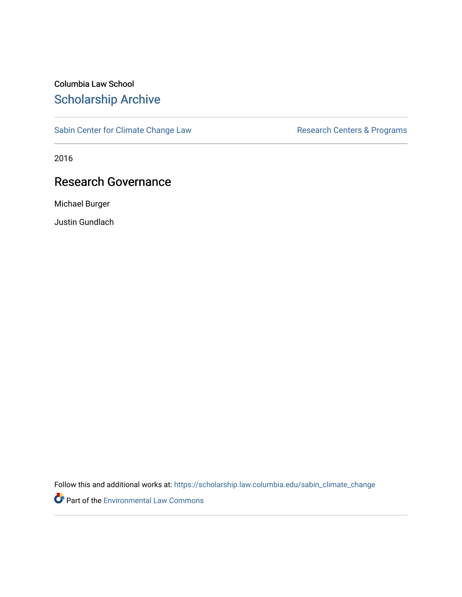# Columbia Law School [Scholarship Archive](https://scholarship.law.columbia.edu/)

[Sabin Center for Climate Change Law](https://scholarship.law.columbia.edu/sabin_climate_change) Research Centers & Programs

2016

# Research Governance

Michael Burger

Justin Gundlach

Follow this and additional works at: [https://scholarship.law.columbia.edu/sabin\\_climate\\_change](https://scholarship.law.columbia.edu/sabin_climate_change?utm_source=scholarship.law.columbia.edu%2Fsabin_climate_change%2F107&utm_medium=PDF&utm_campaign=PDFCoverPages) 

Part of the [Environmental Law Commons](http://network.bepress.com/hgg/discipline/599?utm_source=scholarship.law.columbia.edu%2Fsabin_climate_change%2F107&utm_medium=PDF&utm_campaign=PDFCoverPages)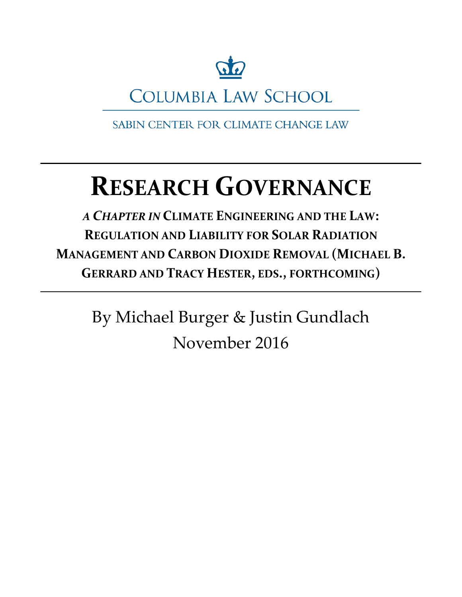

**COLUMBIA LAW SCHOOL** 

SABIN CENTER FOR CLIMATE CHANGE LAW

# **RESEARCH GOVERNANCE**

*A CHAPTER IN* **CLIMATE ENGINEERING AND THE LAW: REGULATION AND LIABILITY FOR SOLAR RADIATION MANAGEMENT AND CARBON DIOXIDE REMOVAL (MICHAEL B. GERRARD AND TRACY HESTER, EDS., FORTHCOMING)**

> By Michael Burger & Justin Gundlach November 2016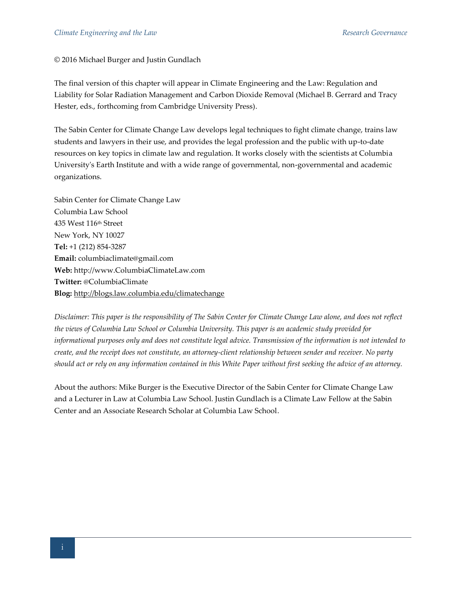© 2016 Michael Burger and Justin Gundlach

The final version of this chapter will appear in Climate Engineering and the Law: Regulation and Liability for Solar Radiation Management and Carbon Dioxide Removal (Michael B. Gerrard and Tracy Hester, eds., forthcoming from Cambridge University Press).

The Sabin Center for Climate Change Law develops legal techniques to fight climate change, trains law students and lawyers in their use, and provides the legal profession and the public with up-to-date resources on key topics in climate law and regulation. It works closely with the scientists at Columbia University's Earth Institute and with a wide range of governmental, non-governmental and academic organizations.

Sabin Center for Climate Change Law Columbia Law School 435 West 116th Street New York, NY 10027 **Tel:** +1 (212) 854-3287 **Email:** columbiaclimate@gmail.com **Web:** http://www.ColumbiaClimateLaw.com **Twitter:** @ColumbiaClimate **Blog:** <http://blogs.law.columbia.edu/climatechange>

*Disclaimer: This paper is the responsibility of The Sabin Center for Climate Change Law alone, and does not reflect the views of Columbia Law School or Columbia University. This paper is an academic study provided for informational purposes only and does not constitute legal advice. Transmission of the information is not intended to create, and the receipt does not constitute, an attorney-client relationship between sender and receiver. No party should act or rely on any information contained in this White Paper without first seeking the advice of an attorney.* 

About the authors: Mike Burger is the Executive Director of the Sabin Center for Climate Change Law and a Lecturer in Law at Columbia Law School. Justin Gundlach is a Climate Law Fellow at the Sabin Center and an Associate Research Scholar at Columbia Law School.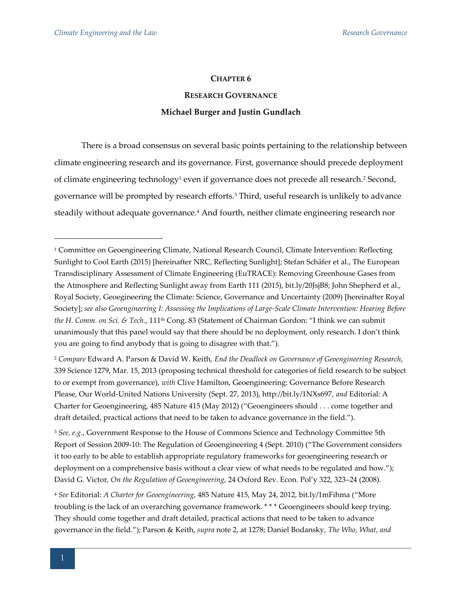#### **CHAPTER 6**

# **RESEARCH GOVERNANCE Michael Burger and Justin Gundlach**

There is a broad consensus on several basic points pertaining to the relationship between climate engineering research and its governance. First, governance should precede deployment of climate engineering technology<sup>1</sup> even if governance does not precede all research.<sup>2</sup> Second, governance will be prompted by research efforts.<sup>3</sup> Third, useful research is unlikely to advance steadily without adequate governance.<sup>4</sup> And fourth, neither climate engineering research nor

<sup>2</sup> *Compare* Edward A. Parson & David W. Keith, *End the Deadlock on Governance of Geoengineering Research*, 339 Science 1279, Mar. 15, 2013 (proposing technical threshold for categories of field research to be subject to or exempt from governance), *with* Clive Hamilton, Geoengineering: Governance Before Research Please, Our World-United Nations University (Sept. 27, 2013), http://bit.ly/1NXs697, *and* Editorial: A Charter for Geoengineering, 485 Nature 415 (May 2012) ("Geoengineers should . . . come together and draft detailed, practical actions that need to be taken to advance governance in the field.").

<sup>3</sup> *See, e.g.*, Government Response to the House of Commons Science and Technology Committee 5th Report of Session 2009-10: The Regulation of Geoengineering 4 (Sept. 2010) ("The Government considers it too early to be able to establish appropriate regulatory frameworks for geoengineering research or deployment on a comprehensive basis without a clear view of what needs to be regulated and how."); David G. Victor, *On the Regulation of Geoengineering*, 24 Oxford Rev. Econ. Pol'y 322, 323–24 (2008).

<sup>4</sup> *See* Editorial: *A Charter for Geoengineering*, 485 Nature 415, May 24, 2012, bit.ly/1mFihma ("More troubling is the lack of an overarching governance framework. \* \* \* Geoengineers should keep trying. They should come together and draft detailed, practical actions that need to be taken to advance governance in the field."); Parson & Keith, *supra* note 2, at 1278; Daniel Bodansky, *The Who, What, and* 

<sup>1</sup> Committee on Geoengineering Climate, National Research Council, Climate Intervention: Reflecting Sunlight to Cool Earth (2015) [hereinafter NRC, Reflecting Sunlight]; Stefan Schäfer et al., The European Transdisciplinary Assessment of Climate Engineering (EuTRACE): Removing Greenhouse Gases from the Atmosphere and Reflecting Sunlight away from Earth 111 (2015), bit.ly/20JsjB8; John Shepherd et al., Royal Society, Geoegineering the Climate: Science, Governance and Uncertainty (2009) [hereinafter Royal Society]; *see also Geoengineering I: Assessing the Implications of Large-Scale Climate Intervention: Hearing Before the H. Comm. on Sci. & Tech.*, 111th Cong. 83 (Statement of Chairman Gordon: "I think we can submit unanimously that this panel would say that there should be no deployment, only research. I don't think you are going to find anybody that is going to disagree with that.").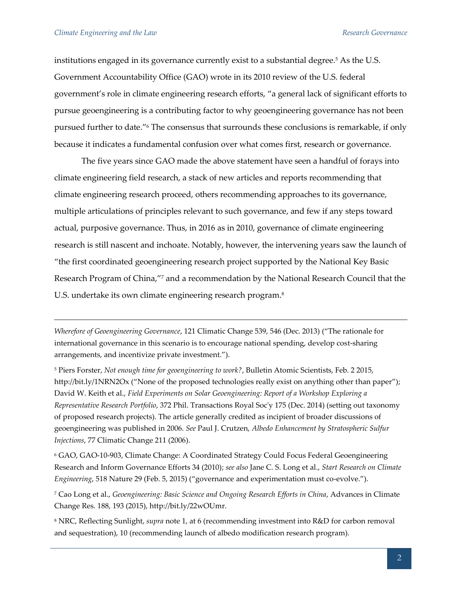institutions engaged in its governance currently exist to a substantial degree.<sup>5</sup> As the U.S. Government Accountability Office (GAO) wrote in its 2010 review of the U.S. federal government's role in climate engineering research efforts, "a general lack of significant efforts to pursue geoengineering is a contributing factor to why geoengineering governance has not been pursued further to date."<sup>6</sup> The consensus that surrounds these conclusions is remarkable, if only because it indicates a fundamental confusion over what comes first, research or governance.

The five years since GAO made the above statement have seen a handful of forays into climate engineering field research, a stack of new articles and reports recommending that climate engineering research proceed, others recommending approaches to its governance, multiple articulations of principles relevant to such governance, and few if any steps toward actual, purposive governance. Thus, in 2016 as in 2010, governance of climate engineering research is still nascent and inchoate. Notably, however, the intervening years saw the launch of "the first coordinated geoengineering research project supported by the National Key Basic Research Program of China,"<sup>7</sup> and a recommendation by the National Research Council that the U.S. undertake its own climate engineering research program.<sup>8</sup>

*Wherefore of Geoengineering Governance*, 121 Climatic Change 539, 546 (Dec. 2013) ("The rationale for international governance in this scenario is to encourage national spending, develop cost-sharing arrangements, and incentivize private investment.").

<sup>5</sup> Piers Forster, *Not enough time for geoengineering to work?*, Bulletin Atomic Scientists, Feb. 2 2015, http://bit.ly/1NRN2Ox ("None of the proposed technologies really exist on anything other than paper"); David W. Keith et al., *Field Experiments on Solar Geoengineering: Report of a Workshop Exploring a Representative Research Portfolio*, 372 Phil. Transactions Royal Soc'y 175 (Dec. 2014) (setting out taxonomy of proposed research projects). The article generally credited as incipient of broader discussions of geoengineering was published in 2006. *See* Paul J. Crutzen, *Albedo Enhancement by Stratospheric Sulfur Injections*, 77 Climatic Change 211 (2006).

<sup>6</sup> GAO, GAO-10-903, Climate Change: A Coordinated Strategy Could Focus Federal Geoengineering Research and Inform Governance Efforts 34 (2010); *see also* Jane C. S. Long et al., *Start Research on Climate Engineering*, 518 Nature 29 (Feb. 5, 2015) ("governance and experimentation must co-evolve.").

<sup>7</sup> Cao Long et al., *Geoengineering: Basic Science and Ongoing Research Efforts in China*, Advances in Climate Change Res. 188, 193 (2015), http://bit.ly/22wOUmr.

<sup>8</sup> NRC, Reflecting Sunlight, *supra* note 1, at 6 (recommending investment into R&D for carbon removal and sequestration), 10 (recommending launch of albedo modification research program).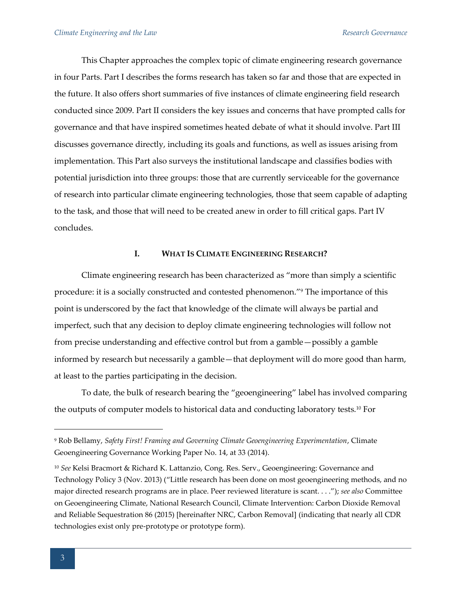This Chapter approaches the complex topic of climate engineering research governance in four Parts. Part I describes the forms research has taken so far and those that are expected in the future. It also offers short summaries of five instances of climate engineering field research conducted since 2009. Part II considers the key issues and concerns that have prompted calls for governance and that have inspired sometimes heated debate of what it should involve. Part III discusses governance directly, including its goals and functions, as well as issues arising from implementation. This Part also surveys the institutional landscape and classifies bodies with potential jurisdiction into three groups: those that are currently serviceable for the governance of research into particular climate engineering technologies, those that seem capable of adapting to the task, and those that will need to be created anew in order to fill critical gaps. Part IV concludes.

# **I. WHAT IS CLIMATE ENGINEERING RESEARCH?**

Climate engineering research has been characterized as "more than simply a scientific procedure: it is a socially constructed and contested phenomenon."<sup>9</sup> The importance of this point is underscored by the fact that knowledge of the climate will always be partial and imperfect, such that any decision to deploy climate engineering technologies will follow not from precise understanding and effective control but from a gamble—possibly a gamble informed by research but necessarily a gamble—that deployment will do more good than harm, at least to the parties participating in the decision.

To date, the bulk of research bearing the "geoengineering" label has involved comparing the outputs of computer models to historical data and conducting laboratory tests.<sup>10</sup> For

<sup>9</sup> Rob Bellamy, *Safety First! Framing and Governing Climate Geoengineering Experimentation*, Climate Geoengineering Governance Working Paper No. 14, at 33 (2014).

<sup>10</sup> *See* Kelsi Bracmort & Richard K. Lattanzio, Cong. Res. Serv., Geoengineering: Governance and Technology Policy 3 (Nov. 2013) ("Little research has been done on most geoengineering methods, and no major directed research programs are in place. Peer reviewed literature is scant. . . ."); *see also* Committee on Geoengineering Climate, National Research Council, Climate Intervention: Carbon Dioxide Removal and Reliable Sequestration 86 (2015) [hereinafter NRC, Carbon Removal] (indicating that nearly all CDR technologies exist only pre-prototype or prototype form).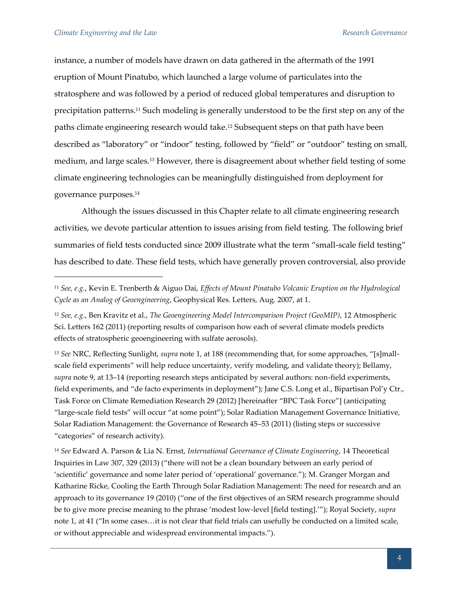instance, a number of models have drawn on data gathered in the aftermath of the 1991 eruption of Mount Pinatubo, which launched a large volume of particulates into the stratosphere and was followed by a period of reduced global temperatures and disruption to precipitation patterns.<sup>11</sup> Such modeling is generally understood to be the first step on any of the paths climate engineering research would take.<sup>12</sup> Subsequent steps on that path have been described as "laboratory" or "indoor" testing, followed by "field" or "outdoor" testing on small, medium, and large scales.<sup>13</sup> However, there is disagreement about whether field testing of some climate engineering technologies can be meaningfully distinguished from deployment for governance purposes.<sup>14</sup>

Although the issues discussed in this Chapter relate to all climate engineering research activities, we devote particular attention to issues arising from field testing. The following brief summaries of field tests conducted since 2009 illustrate what the term "small-scale field testing" has described to date. These field tests, which have generally proven controversial, also provide

<sup>13</sup> *See* NRC, Reflecting Sunlight, *supra* note 1, at 188 (recommending that, for some approaches, "[s]mallscale field experiments" will help reduce uncertainty, verify modeling, and validate theory); Bellamy, *supra* note 9, at 13–14 (reporting research steps anticipated by several authors: non-field experiments, field experiments, and "de facto experiments in deployment"); Jane C.S. Long et al., Bipartisan Pol'y Ctr., Task Force on Climate Remediation Research 29 (2012) [hereinafter "BPC Task Force"] (anticipating "large-scale field tests" will occur "at some point"); Solar Radiation Management Governance Initiative, Solar Radiation Management: the Governance of Research 45–53 (2011) (listing steps or successive "categories" of research activity).

<sup>14</sup> *See* Edward A. Parson & Lia N. Ernst, *International Governance of Climate Engineering*, 14 Theoretical Inquiries in Law 307, 329 (2013) ("there will not be a clean boundary between an early period of 'scientific' governance and some later period of 'operational' governance."); M. Granger Morgan and Katharine Ricke, Cooling the Earth Through Solar Radiation Management: The need for research and an approach to its governance 19 (2010) ("one of the first objectives of an SRM research programme should be to give more precise meaning to the phrase 'modest low-level [field testing].'"); Royal Society, *supra* note 1, at 41 ("In some cases…it is not clear that field trials can usefully be conducted on a limited scale, or without appreciable and widespread environmental impacts.").

<sup>11</sup> *See, e.g.*, Kevin E. Trenberth & Aiguo Dai, *Effects of Mount Pinatubo Volcanic Eruption on the Hydrological Cycle as an Analog of Geoengineering*, Geophysical Res. Letters, Aug. 2007, at 1.

<sup>12</sup> *See, e.g.*, Ben Kravitz et al., *The Geoengineering Model Intercomparison Project (GeoMIP)*, 12 Atmospheric Sci. Letters 162 (2011) (reporting results of comparison how each of several climate models predicts effects of stratospheric geoengineering with sulfate aerosols).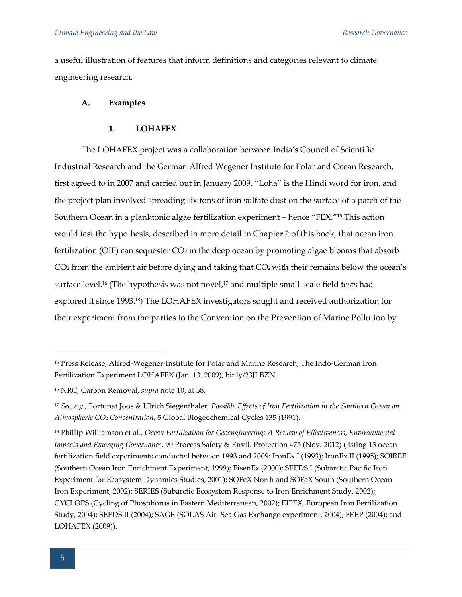a useful illustration of features that inform definitions and categories relevant to climate engineering research.

#### **A. Examples**

# **1. LOHAFEX**

The LOHAFEX project was a collaboration between India's Council of Scientific Industrial Research and the German Alfred Wegener Institute for Polar and Ocean Research, first agreed to in 2007 and carried out in January 2009. "Loha" is the Hindi word for iron, and the project plan involved spreading six tons of iron sulfate dust on the surface of a patch of the Southern Ocean in a planktonic algae fertilization experiment – hence "FEX."<sup>15</sup> This action would test the hypothesis, described in more detail in Chapter 2 of this book, that ocean iron fertilization (OIF) can sequester  $CO<sub>2</sub>$  in the deep ocean by promoting algae blooms that absorb  $CO<sub>2</sub>$  from the ambient air before dying and taking that  $CO<sub>2</sub>$  with their remains below the ocean's surface level.<sup>16</sup> (The hypothesis was not novel,<sup>17</sup> and multiple small-scale field tests had explored it since 1993.18) The LOHAFEX investigators sought and received authorization for their experiment from the parties to the Convention on the Prevention of Marine Pollution by

<sup>15</sup> Press Release, Alfred-Wegener-Institute for Polar and Marine Research, The Indo-German Iron Fertilization Experiment LOHAFEX (Jan. 13, 2009), bit.ly/23JLBZN.

<sup>16</sup> NRC, Carbon Removal, *supra* note 10, at 58.

<sup>17</sup> *See, e.g.*, Fortunat Joos & Ulrich Siegenthaler, *Possible Effects of Iron Fertilization in the Southern Ocean on Atmospheric CO<sup>2</sup> Concentration*, 5 Global Biogeochemical Cycles 135 (1991).

<sup>18</sup> Phillip Williamson et al., *Ocean Fertilization for Geoengineering: A Review of Effectiveness, Environmental Impacts and Emerging Governance*, 90 Process Safety & Envtl. Protection 475 (Nov. 2012) (listing 13 ocean fertilization field experiments conducted between 1993 and 2009: IronEx I (1993); IronEx II (1995); SOIREE (Southern Ocean Iron Enrichment Experiment, 1999); EisenEx (2000); SEEDS I (Subarctic Pacific Iron Experiment for Ecosystem Dynamics Studies, 2001); SOFeX North and SOFeX South (Southern Ocean Iron Experiment, 2002); SERIES (Subarctic Ecosystem Response to Iron Enrichment Study, 2002); CYCLOPS (Cycling of Phosphorus in Eastern Mediterranean, 2002); EIFEX, European Iron Fertilization Study, 2004); SEEDS II (2004); SAGE (SOLAS Air–Sea Gas Exchange experiment, 2004); FEEP (2004); and LOHAFEX (2009)).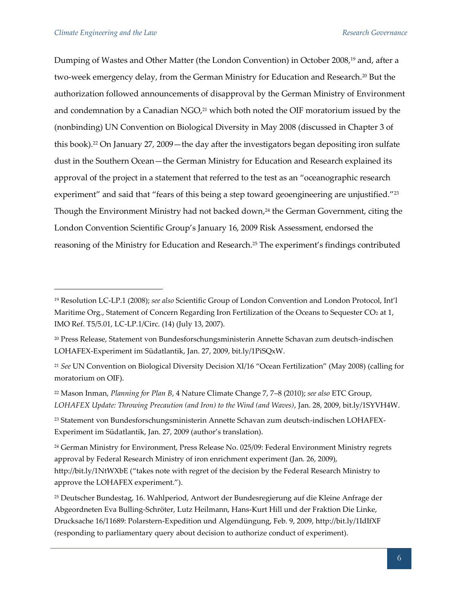Dumping of Wastes and Other Matter (the London Convention) in October 2008,<sup>19</sup> and, after a two-week emergency delay, from the German Ministry for Education and Research.<sup>20</sup> But the authorization followed announcements of disapproval by the German Ministry of Environment and condemnation by a Canadian  $NGO<sub>21</sub><sup>21</sup>$  which both noted the OIF moratorium issued by the (nonbinding) UN Convention on Biological Diversity in May 2008 (discussed in Chapter 3 of this book).<sup>22</sup> On January 27, 2009—the day after the investigators began depositing iron sulfate dust in the Southern Ocean—the German Ministry for Education and Research explained its approval of the project in a statement that referred to the test as an "oceanographic research experiment" and said that "fears of this being a step toward geoengineering are unjustified."<sup>23</sup> Though the Environment Ministry had not backed down,<sup>24</sup> the German Government, citing the London Convention Scientific Group's January 16, 2009 Risk Assessment, endorsed the reasoning of the Ministry for Education and Research.<sup>25</sup> The experiment's findings contributed

<sup>19</sup> Resolution LC-LP.1 (2008); *see also* Scientific Group of London Convention and London Protocol, Int'l Maritime Org., Statement of Concern Regarding Iron Fertilization of the Oceans to Sequester CO<sub>2</sub> at 1, IMO Ref. T5/5.01, LC-LP.1/Circ. (14) (July 13, 2007).

<sup>20</sup> Press Release, Statement von Bundesforschungsministerin Annette Schavan zum deutsch-indischen LOHAFEX-Experiment im Südatlantik, Jan. 27, 2009, bit.ly/1PiSQxW.

<sup>21</sup> *See* UN Convention on Biological Diversity Decision XI/16 "Ocean Fertilization" (May 2008) (calling for moratorium on OIF).

<sup>22</sup> Mason Inman, *Planning for Plan B*, 4 Nature Climate Change 7, 7–8 (2010); *see also* ETC Group, *LOHAFEX Update: Throwing Precaution (and Iron) to the Wind (and Waves)*, Jan. 28, 2009, bit.ly/1SYVH4W.

<sup>23</sup> Statement von Bundesforschungsministerin Annette Schavan zum deutsch-indischen LOHAFEX-Experiment im Südatlantik, Jan. 27, 2009 (author's translation).

<sup>&</sup>lt;sup>24</sup> German Ministry for Environment, Press Release No. 025/09: Federal Environment Ministry regrets approval by Federal Research Ministry of iron enrichment experiment (Jan. 26, 2009), http://bit.ly/1NtWXbE ("takes note with regret of the decision by the Federal Research Ministry to approve the LOHAFEX experiment.").

<sup>25</sup> Deutscher Bundestag, 16. Wahlperiod, Antwort der Bundesregierung auf die Kleine Anfrage der Abgeordneten Eva Bulling-Schröter, Lutz Heilmann, Hans-Kurt Hill und der Fraktion Die Linke, Drucksache 16/11689: Polarstern-Expedition und Algendüngung, Feb. 9, 2009, http://bit.ly/1IdIfXF (responding to parliamentary query about decision to authorize conduct of experiment).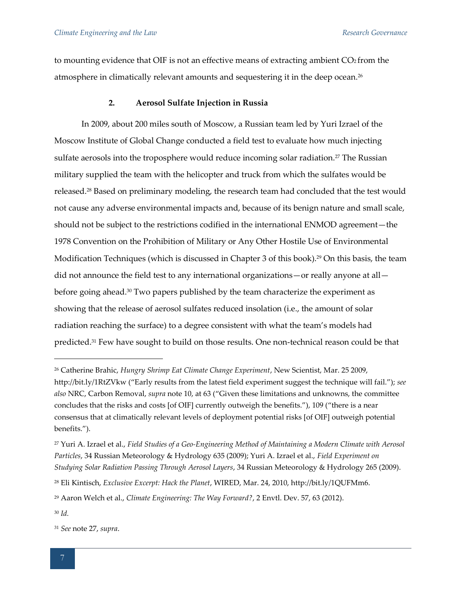to mounting evidence that OIF is not an effective means of extracting ambient  $CO<sub>2</sub>$  from the atmosphere in climatically relevant amounts and sequestering it in the deep ocean.<sup>26</sup>

# **2. Aerosol Sulfate Injection in Russia**

In 2009, about 200 miles south of Moscow, a Russian team led by Yuri Izrael of the Moscow Institute of Global Change conducted a field test to evaluate how much injecting sulfate aerosols into the troposphere would reduce incoming solar radiation.<sup>27</sup> The Russian military supplied the team with the helicopter and truck from which the sulfates would be released.<sup>28</sup> Based on preliminary modeling, the research team had concluded that the test would not cause any adverse environmental impacts and, because of its benign nature and small scale, should not be subject to the restrictions codified in the international ENMOD agreement—the 1978 Convention on the Prohibition of Military or Any Other Hostile Use of Environmental Modification Techniques (which is discussed in Chapter 3 of this book).<sup>29</sup> On this basis, the team did not announce the field test to any international organizations—or really anyone at all before going ahead.<sup>30</sup> Two papers published by the team characterize the experiment as showing that the release of aerosol sulfates reduced insolation (i.e., the amount of solar radiation reaching the surface) to a degree consistent with what the team's models had predicted.<sup>31</sup> Few have sought to build on those results. One non-technical reason could be that

<sup>29</sup> Aaron Welch et al., *Climate Engineering: The Way Forward?*, 2 Envtl. Dev. 57, 63 (2012).

<sup>30</sup> *Id.*

<sup>26</sup> Catherine Brahic, *Hungry Shrimp Eat Climate Change Experiment*, New Scientist, Mar. 25 2009, http://bit.ly/1RtZVkw ("Early results from the latest field experiment suggest the technique will fail."); *see also* NRC, Carbon Removal, *supra* note 10, at 63 ("Given these limitations and unknowns, the committee concludes that the risks and costs [of OIF] currently outweigh the benefits."), 109 ("there is a near consensus that at climatically relevant levels of deployment potential risks [of OIF] outweigh potential benefits.").

<sup>27</sup> Yuri A. Izrael et al., *Field Studies of a Geo-Engineering Method of Maintaining a Modern Climate with Aerosol Particles*, 34 Russian Meteorology & Hydrology 635 (2009); Yuri A. Izrael et al., *Field Experiment on Studying Solar Radiation Passing Through Aerosol Layers*, 34 Russian Meteorology & Hydrology 265 (2009).

<sup>28</sup> Eli Kintisch, *Exclusive Excerpt: Hack the Planet*, WIRED, Mar. 24, 2010, http://bit.ly/1QUFMm6.

<sup>31</sup> *See* note 27, *supra*.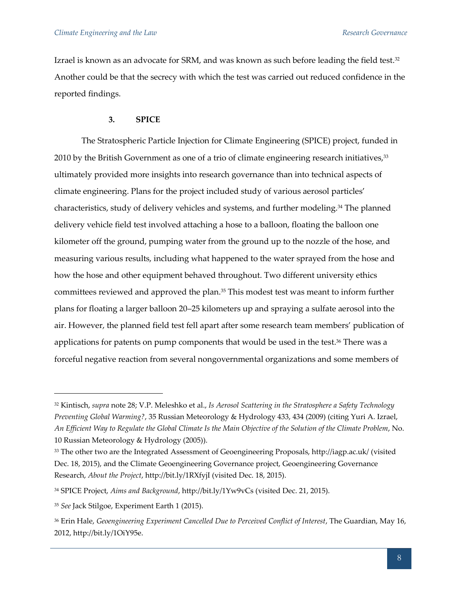Izrael is known as an advocate for SRM, and was known as such before leading the field test. $32$ Another could be that the secrecy with which the test was carried out reduced confidence in the reported findings.

#### **3. SPICE**

The Stratospheric Particle Injection for Climate Engineering (SPICE) project, funded in 2010 by the British Government as one of a trio of climate engineering research initiatives,<sup>33</sup> ultimately provided more insights into research governance than into technical aspects of climate engineering. Plans for the project included study of various aerosol particles' characteristics, study of delivery vehicles and systems, and further modeling.<sup>34</sup> The planned delivery vehicle field test involved attaching a hose to a balloon, floating the balloon one kilometer off the ground, pumping water from the ground up to the nozzle of the hose, and measuring various results, including what happened to the water sprayed from the hose and how the hose and other equipment behaved throughout. Two different university ethics committees reviewed and approved the plan.<sup>35</sup> This modest test was meant to inform further plans for floating a larger balloon 20–25 kilometers up and spraying a sulfate aerosol into the air. However, the planned field test fell apart after some research team members' publication of applications for patents on pump components that would be used in the test.<sup>36</sup> There was a forceful negative reaction from several nongovernmental organizations and some members of

<sup>32</sup> Kintisch, *supra* note 28; V.P. Meleshko et al., *Is Aerosol Scattering in the Stratosphere a Safety Technology Preventing Global Warming?*, 35 Russian Meteorology & Hydrology 433, 434 (2009) (citing Yuri A. Izrael, *An Efficient Way to Regulate the Global Climate Is the Main Objective of the Solution of the Climate Problem*, No. 10 Russian Meteorology & Hydrology (2005)).

<sup>33</sup> The other two are the Integrated Assessment of Geoengineering Proposals, http://iagp.ac.uk/ (visited Dec. 18, 2015), and the Climate Geoengineering Governance project, Geoengineering Governance Research, *About the Project*, http://bit.ly/1RXfyjI (visited Dec. 18, 2015).

<sup>34</sup> SPICE Project, *Aims and Background*, http://bit.ly/1Yw9vCs (visited Dec. 21, 2015).

<sup>35</sup> *See* Jack Stilgoe, Experiment Earth 1 (2015).

<sup>36</sup> Erin Hale, *Geoengineering Experiment Cancelled Due to Perceived Conflict of Interest*, The Guardian, May 16, 2012, http://bit.ly/1OiY95e.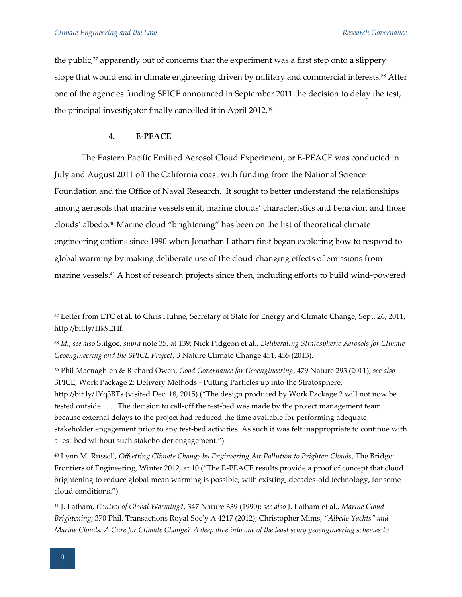the public, $37$  apparently out of concerns that the experiment was a first step onto a slippery slope that would end in climate engineering driven by military and commercial interests.<sup>38</sup> After one of the agencies funding SPICE announced in September 2011 the decision to delay the test, the principal investigator finally cancelled it in April 2012.<sup>39</sup>

# **4. E-PEACE**

The Eastern Pacific Emitted Aerosol Cloud Experiment, or E-PEACE was conducted in July and August 2011 off the California coast with funding from the National Science Foundation and the Office of Naval Research. It sought to better understand the relationships among aerosols that marine vessels emit, marine clouds' characteristics and behavior, and those clouds' albedo.<sup>40</sup> Marine cloud "brightening" has been on the list of theoretical climate engineering options since 1990 when Jonathan Latham first began exploring how to respond to global warming by making deliberate use of the cloud-changing effects of emissions from marine vessels.<sup>41</sup> A host of research projects since then, including efforts to build wind-powered

<sup>39</sup> Phil Macnaghten & Richard Owen, *Good Governance for Geoengineering*, 479 Nature 293 (2011); *see also*  SPICE, Work Package 2: Delivery Methods - Putting Particles up into the Stratosphere, http://bit.ly/1Yq3BTs (visited Dec. 18, 2015) ("The design produced by Work Package 2 will not now be tested outside . . . . The decision to call-off the test-bed was made by the project management team because external delays to the project had reduced the time available for performing adequate stakeholder engagement prior to any test-bed activities. As such it was felt inappropriate to continue with a test-bed without such stakeholder engagement.").

<sup>40</sup> Lynn M. Russell, *Offsetting Climate Change by Engineering Air Pollution to Brighten Clouds*, The Bridge: Frontiers of Engineering, Winter 2012, at 10 ("The E-PEACE results provide a proof of concept that cloud brightening to reduce global mean warming is possible, with existing, decades-old technology, for some cloud conditions.").

<sup>37</sup> Letter from ETC et al. to Chris Huhne, Secretary of State for Energy and Climate Change, Sept. 26, 2011, http://bit.ly/1Ik9EHf.

<sup>38</sup> *Id.*; *see also* Stilgoe, *supra* note 35, at 139; Nick Pidgeon et al., *Deliberating Stratospheric Aerosols for Climate Geoengineering and the SPICE Project*, 3 Nature Climate Change 451, 455 (2013).

<sup>41</sup> J. Latham, *Control of Global Warming?*, 347 Nature 339 (1990); *see also* J. Latham et al., *Marine Cloud Brightening*, 370 Phil. Transactions Royal Soc'y A 4217 (2012); Christopher Mims, *"Albedo Yachts" and Marine Clouds: A Cure for Climate Change? A deep dive into one of the least scary geoengineering schemes to*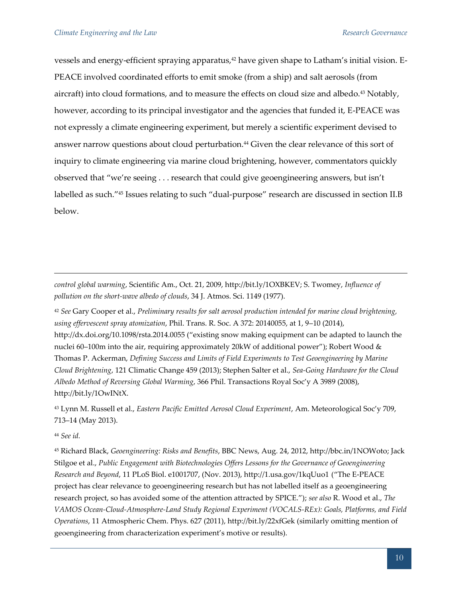vessels and energy-efficient spraying apparatus,<sup>42</sup> have given shape to Latham's initial vision. E-PEACE involved coordinated efforts to emit smoke (from a ship) and salt aerosols (from aircraft) into cloud formations, and to measure the effects on cloud size and albedo.<sup>43</sup> Notably, however, according to its principal investigator and the agencies that funded it, E-PEACE was not expressly a climate engineering experiment, but merely a scientific experiment devised to answer narrow questions about cloud perturbation.<sup>44</sup> Given the clear relevance of this sort of inquiry to climate engineering via marine cloud brightening, however, commentators quickly observed that "we're seeing . . . research that could give geoengineering answers, but isn't labelled as such."<sup>45</sup> Issues relating to such "dual-purpose" research are discussed in section II.B below.

*control global warming*, Scientific Am., Oct. 21, 2009, http://bit.ly/1OXBKEV; S. Twomey, *Influence of pollution on the short-wave albedo of clouds*, 34 J. Atmos. Sci. 1149 (1977).

<sup>42</sup> *See* Gary Cooper et al., *Preliminary results for salt aerosol production intended for marine cloud brightening, using effervescent spray atomization*, Phil. Trans. R. Soc. A 372: 20140055, at 1, 9–10 (2014), http://dx.doi.org/10.1098/rsta.2014.0055 ("existing snow making equipment can be adapted to launch the nuclei 60–100m into the air, requiring approximately 20kW of additional power"); Robert Wood & Thomas P. Ackerman, *Defining Success and Limits of Field Experiments to Test Geoengineering by Marine Cloud Brightening*, 121 Climatic Change 459 (2013); Stephen Salter et al., *Sea-Going Hardware for the Cloud Albedo Method of Reversing Global Warming*, 366 Phil. Transactions Royal Soc'y A 3989 (2008), http://bit.ly/1OwINtX.

<sup>43</sup> Lynn M. Russell et al., *Eastern Pacific Emitted Aerosol Cloud Experiment*, Am. Meteorological Soc'y 709, 713–14 (May 2013).

<sup>44</sup> *See id.*

 $\overline{a}$ 

<sup>45</sup> Richard Black, *Geoengineering: Risks and Benefits*, BBC News, Aug. 24, 2012, http://bbc.in/1NOWoto; Jack Stilgoe et al., *Public Engagement with Biotechnologies Offers Lessons for the Governance of Geoengineering Research and Beyond*, 11 PLoS Biol. e1001707, (Nov. 2013), http://1.usa.gov/1kqUuo1 ("The E-PEACE project has clear relevance to geoengineering research but has not labelled itself as a geoengineering research project, so has avoided some of the attention attracted by SPICE."); *see also* R. Wood et al., *The VAMOS Ocean-Cloud-Atmosphere-Land Study Regional Experiment (VOCALS-REx): Goals, Platforms, and Field Operations*, 11 Atmospheric Chem. Phys. 627 (2011), http://bit.ly/22xfGek (similarly omitting mention of geoengineering from characterization experiment's motive or results).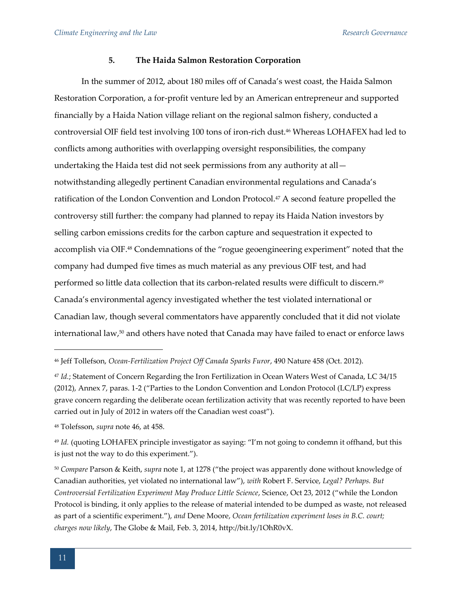#### **5. The Haida Salmon Restoration Corporation**

In the summer of 2012, about 180 miles off of Canada's west coast, the Haida Salmon Restoration Corporation, a for-profit venture led by an American entrepreneur and supported financially by a Haida Nation village reliant on the regional salmon fishery, conducted a controversial OIF field test involving 100 tons of iron-rich dust.<sup>46</sup> Whereas LOHAFEX had led to conflicts among authorities with overlapping oversight responsibilities, the company undertaking the Haida test did not seek permissions from any authority at all notwithstanding allegedly pertinent Canadian environmental regulations and Canada's ratification of the London Convention and London Protocol.<sup>47</sup> A second feature propelled the controversy still further: the company had planned to repay its Haida Nation investors by selling carbon emissions credits for the carbon capture and sequestration it expected to accomplish via OIF.<sup>48</sup> Condemnations of the "rogue geoengineering experiment" noted that the company had dumped five times as much material as any previous OIF test, and had performed so little data collection that its carbon-related results were difficult to discern.<sup>49</sup> Canada's environmental agency investigated whether the test violated international or Canadian law, though several commentators have apparently concluded that it did not violate international law,<sup>50</sup> and others have noted that Canada may have failed to enact or enforce laws

<sup>46</sup> Jeff Tollefson, *Ocean-Fertilization Project Off Canada Sparks Furor*, 490 Nature 458 (Oct. 2012).

<sup>47</sup> *Id.*; Statement of Concern Regarding the Iron Fertilization in Ocean Waters West of Canada, LC 34/15 (2012), Annex 7, paras. 1-2 ("Parties to the London Convention and London Protocol (LC/LP) express grave concern regarding the deliberate ocean fertilization activity that was recently reported to have been carried out in July of 2012 in waters off the Canadian west coast").

<sup>48</sup> Tolefsson, *supra* note 46, at 458.

<sup>49</sup> *Id.* (quoting LOHAFEX principle investigator as saying: "I'm not going to condemn it offhand, but this is just not the way to do this experiment.").

<sup>50</sup> *Compare* Parson & Keith, *supra* note 1, at 1278 ("the project was apparently done without knowledge of Canadian authorities, yet violated no international law"), *with* Robert F. Service, *Legal? Perhaps. But Controversial Fertilization Experiment May Produce Little Science*, Science, Oct 23, 2012 ("while the London Protocol is binding, it only applies to the release of material intended to be dumped as waste, not released as part of a scientific experiment."), *and* Dene Moore, *Ocean fertilization experiment loses in B.C. court; charges now likely*, The Globe & Mail, Feb. 3, 2014, http://bit.ly/1OhR0vX.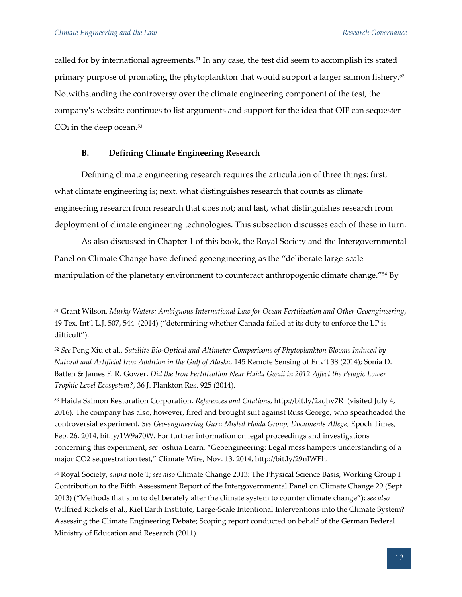called for by international agreements.<sup>51</sup> In any case, the test did seem to accomplish its stated primary purpose of promoting the phytoplankton that would support a larger salmon fishery.<sup>52</sup> Notwithstanding the controversy over the climate engineering component of the test, the company's website continues to list arguments and support for the idea that OIF can sequester  $CO<sub>2</sub>$  in the deep ocean.<sup>53</sup>

# **B. Defining Climate Engineering Research**

Defining climate engineering research requires the articulation of three things: first, what climate engineering is; next, what distinguishes research that counts as climate engineering research from research that does not; and last, what distinguishes research from deployment of climate engineering technologies. This subsection discusses each of these in turn.

As also discussed in Chapter 1 of this book, the Royal Society and the Intergovernmental Panel on Climate Change have defined geoengineering as the "deliberate large-scale manipulation of the planetary environment to counteract anthropogenic climate change."<sup>54</sup> By

<sup>51</sup> Grant Wilson, *Murky Waters: Ambiguous International Law for Ocean Fertilization and Other Geoengineering*, 49 Tex. Int'l L.J. 507, 544 (2014) ("determining whether Canada failed at its duty to enforce the LP is difficult").

<sup>52</sup> *See* Peng Xiu et al., *Satellite Bio-Optical and Altimeter Comparisons of Phytoplankton Blooms Induced by Natural and Artificial Iron Addition in the Gulf of Alaska*, 145 Remote Sensing of Env't 38 (2014); Sonia D. Batten & James F. R. Gower, *Did the Iron Fertilization Near Haida Gwaii in 2012 Affect the Pelagic Lower Trophic Level Ecosystem?*, 36 J. Plankton Res. 925 (2014).

<sup>53</sup> Haida Salmon Restoration Corporation, *References and Citations*, http://bit.ly/2aqhv7R (visited July 4, 2016). The company has also, however, fired and brought suit against Russ George, who spearheaded the controversial experiment. *See Geo-engineering Guru Misled Haida Group, Documents Allege*, Epoch Times, Feb. 26, 2014, bit.ly/1W9a70W. For further information on legal proceedings and investigations concerning this experiment, *see* Joshua Learn, "Geoengineering: Legal mess hampers understanding of a major CO2 sequestration test," Climate Wire, Nov. 13, 2014, http://bit.ly/29nIWPh.

<sup>54</sup> Royal Society, *supra* note 1; *see also* Climate Change 2013: The Physical Science Basis, Working Group I Contribution to the Fifth Assessment Report of the Intergovernmental Panel on Climate Change 29 (Sept. 2013) ("Methods that aim to deliberately alter the climate system to counter climate change"); *see also* Wilfried Rickels et al., Kiel Earth Institute, Large-Scale Intentional Interventions into the Climate System? Assessing the Climate Engineering Debate; Scoping report conducted on behalf of the German Federal Ministry of Education and Research (2011).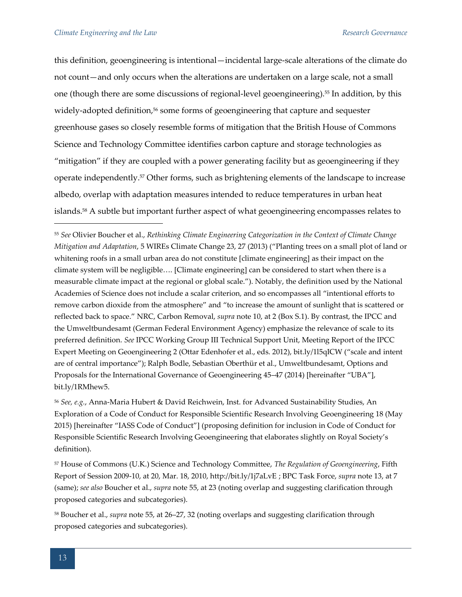this definition, geoengineering is intentional—incidental large-scale alterations of the climate do not count—and only occurs when the alterations are undertaken on a large scale, not a small one (though there are some discussions of regional-level geoengineering).<sup>55</sup> In addition, by this widely-adopted definition,<sup>56</sup> some forms of geoengineering that capture and sequester greenhouse gases so closely resemble forms of mitigation that the British House of Commons Science and Technology Committee identifies carbon capture and storage technologies as "mitigation" if they are coupled with a power generating facility but as geoengineering if they operate independently.<sup>57</sup> Other forms, such as brightening elements of the landscape to increase albedo, overlap with adaptation measures intended to reduce temperatures in urban heat islands.<sup>58</sup> A subtle but important further aspect of what geoengineering encompasses relates to

<sup>55</sup> *See* Olivier Boucher et al., *Rethinking Climate Engineering Categorization in the Context of Climate Change Mitigation and Adaptation*, 5 WIREs Climate Change 23, 27 (2013) ("Planting trees on a small plot of land or whitening roofs in a small urban area do not constitute [climate engineering] as their impact on the climate system will be negligible…. [Climate engineering] can be considered to start when there is a measurable climate impact at the regional or global scale."). Notably, the definition used by the National Academies of Science does not include a scalar criterion, and so encompasses all "intentional efforts to remove carbon dioxide from the atmosphere" and "to increase the amount of sunlight that is scattered or reflected back to space." NRC, Carbon Removal, *supra* note 10, at 2 (Box S.1). By contrast, the IPCC and the Umweltbundesamt (German Federal Environment Agency) emphasize the relevance of scale to its preferred definition. *See* IPCC Working Group III Technical Support Unit, Meeting Report of the IPCC Expert Meeting on Geoengineering 2 (Ottar Edenhofer et al., eds. 2012), bit.ly/1l5qICW ("scale and intent are of central importance"); Ralph Bodle, Sebastian Oberthür et al., Umweltbundesamt, Options and Proposals for the International Governance of Geoengineering 45–47 (2014) [hereinafter "UBA"], bit.ly/1RMhew5.

<sup>56</sup> *See, e.g.*, Anna-Maria Hubert & David Reichwein, Inst. for Advanced Sustainability Studies, An Exploration of a Code of Conduct for Responsible Scientific Research Involving Geoengineering 18 (May 2015) [hereinafter "IASS Code of Conduct"] (proposing definition for inclusion in Code of Conduct for Responsible Scientific Research Involving Geoengineering that elaborates slightly on Royal Society's definition).

<sup>57</sup> House of Commons (U.K.) Science and Technology Committee, *The Regulation of Geoengineering*, Fifth Report of Session 2009-10, at 20, Mar. 18, 2010, http://bit.ly/1j7aLvE ; BPC Task Force, *supra* note 13, at 7 (same); *see also* Boucher et al., *supra* note 55, at 23 (noting overlap and suggesting clarification through proposed categories and subcategories).

<sup>58</sup> Boucher et al., *supra* note 55, at 26–27, 32 (noting overlaps and suggesting clarification through proposed categories and subcategories).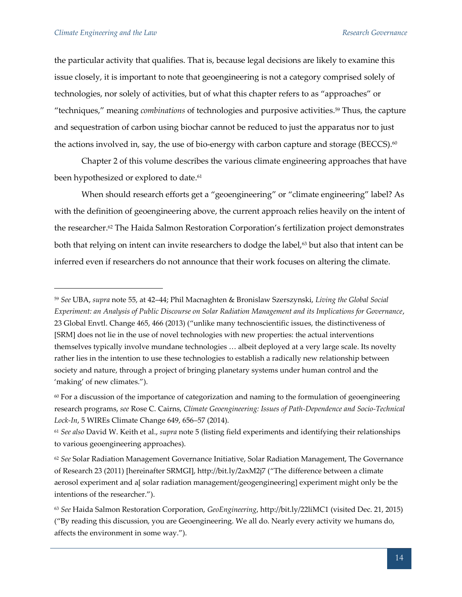the particular activity that qualifies. That is, because legal decisions are likely to examine this issue closely, it is important to note that geoengineering is not a category comprised solely of technologies, nor solely of activities, but of what this chapter refers to as "approaches" or "techniques," meaning *combinations* of technologies and purposive activities.<sup>59</sup> Thus, the capture and sequestration of carbon using biochar cannot be reduced to just the apparatus nor to just the actions involved in, say, the use of bio-energy with carbon capture and storage (BECCS).<sup>60</sup>

Chapter 2 of this volume describes the various climate engineering approaches that have been hypothesized or explored to date.<sup>61</sup>

When should research efforts get a "geoengineering" or "climate engineering" label? As with the definition of geoengineering above, the current approach relies heavily on the intent of the researcher.<sup>62</sup> The Haida Salmon Restoration Corporation's fertilization project demonstrates both that relying on intent can invite researchers to dodge the label,<sup>63</sup> but also that intent can be inferred even if researchers do not announce that their work focuses on altering the climate.

<sup>59</sup> *See* UBA, *supra* note 55, at 42–44; Phil Macnaghten & Bronislaw Szerszynski, *Living the Global Social Experiment: an Analysis of Public Discourse on Solar Radiation Management and its Implications for Governance*, 23 Global Envtl. Change 465, 466 (2013) ("unlike many technoscientific issues, the distinctiveness of [SRM] does not lie in the use of novel technologies with new properties: the actual interventions themselves typically involve mundane technologies … albeit deployed at a very large scale. Its novelty rather lies in the intention to use these technologies to establish a radically new relationship between society and nature, through a project of bringing planetary systems under human control and the 'making' of new climates.").

 $60$  For a discussion of the importance of categorization and naming to the formulation of geoengineering research programs, *see* Rose C. Cairns, *Climate Geoengineering: Issues of Path-Dependence and Socio-Technical Lock-In*, 5 WIREs Climate Change 649, 656–57 (2014).

<sup>61</sup> *See also* David W. Keith et al., *supra* note 5 (listing field experiments and identifying their relationships to various geoengineering approaches).

<sup>62</sup> *See* Solar Radiation Management Governance Initiative, Solar Radiation Management, The Governance of Research 23 (2011) [hereinafter SRMGI], http://bit.ly/2axM2j7 ("The difference between a climate aerosol experiment and a[ solar radiation management/geogengineering] experiment might only be the intentions of the researcher.").

<sup>63</sup> *See* Haida Salmon Restoration Corporation, *GeoEngineering*, http://bit.ly/22liMC1 (visited Dec. 21, 2015) ("By reading this discussion, you are Geoengineering. We all do. Nearly every activity we humans do, affects the environment in some way.").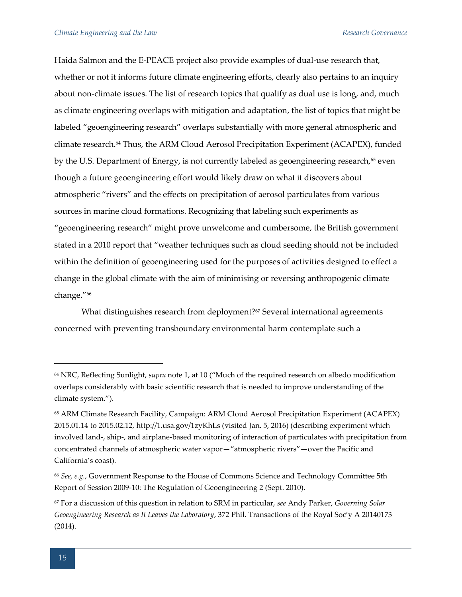Haida Salmon and the E-PEACE project also provide examples of dual-use research that, whether or not it informs future climate engineering efforts, clearly also pertains to an inquiry about non-climate issues. The list of research topics that qualify as dual use is long, and, much as climate engineering overlaps with mitigation and adaptation, the list of topics that might be labeled "geoengineering research" overlaps substantially with more general atmospheric and climate research.<sup>64</sup> Thus, the ARM Cloud Aerosol Precipitation Experiment (ACAPEX), funded by the U.S. Department of Energy, is not currently labeled as geoengineering research,<sup>65</sup> even though a future geoengineering effort would likely draw on what it discovers about atmospheric "rivers" and the effects on precipitation of aerosol particulates from various sources in marine cloud formations. Recognizing that labeling such experiments as "geoengineering research" might prove unwelcome and cumbersome, the British government stated in a 2010 report that "weather techniques such as cloud seeding should not be included within the definition of geoengineering used for the purposes of activities designed to effect a change in the global climate with the aim of minimising or reversing anthropogenic climate change."<sup>66</sup>

What distinguishes research from deployment?<sup>67</sup> Several international agreements concerned with preventing transboundary environmental harm contemplate such a

<sup>64</sup> NRC, Reflecting Sunlight, *supra* note 1, at 10 ("Much of the required research on albedo modification overlaps considerably with basic scientific research that is needed to improve understanding of the climate system.").

<sup>65</sup> ARM Climate Research Facility, Campaign: ARM Cloud Aerosol Precipitation Experiment (ACAPEX) 2015.01.14 to 2015.02.12, http://1.usa.gov/1zyKhLs (visited Jan. 5, 2016) (describing experiment which involved land-, ship-, and airplane-based monitoring of interaction of particulates with precipitation from concentrated channels of atmospheric water vapor—"atmospheric rivers"—over the Pacific and California's coast).

<sup>66</sup> *See, e.g.*, Government Response to the House of Commons Science and Technology Committee 5th Report of Session 2009-10: The Regulation of Geoengineering 2 (Sept. 2010).

<sup>67</sup> For a discussion of this question in relation to SRM in particular, *see* Andy Parker, *Governing Solar Geoengineering Research as It Leaves the Laboratory*, 372 Phil. Transactions of the Royal Soc'y A 20140173 (2014).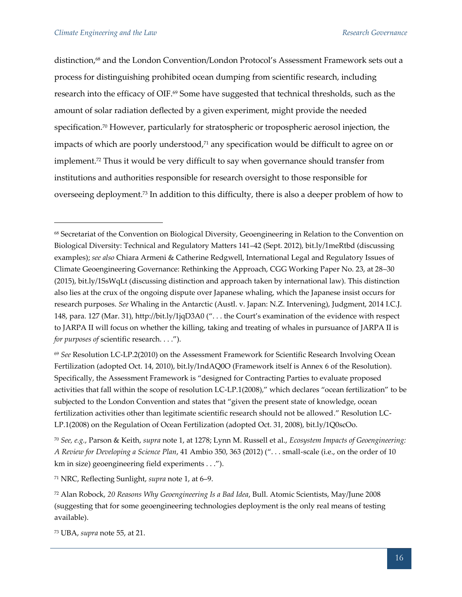distinction,<sup>68</sup> and the London Convention/London Protocol's Assessment Framework sets out a process for distinguishing prohibited ocean dumping from scientific research, including research into the efficacy of OIF.<sup>69</sup> Some have suggested that technical thresholds, such as the amount of solar radiation deflected by a given experiment, might provide the needed specification.<sup>70</sup> However, particularly for stratospheric or tropospheric aerosol injection, the impacts of which are poorly understood,<sup>71</sup> any specification would be difficult to agree on or implement.<sup>72</sup> Thus it would be very difficult to say when governance should transfer from institutions and authorities responsible for research oversight to those responsible for overseeing deployment.<sup>73</sup> In addition to this difficulty, there is also a deeper problem of how to

<sup>71</sup> NRC, Reflecting Sunlight, *supra* note 1, at 6–9.

<sup>68</sup> Secretariat of the Convention on Biological Diversity, Geoengineering in Relation to the Convention on Biological Diversity: Technical and Regulatory Matters 141–42 (Sept. 2012), bit.ly/1meRtbd (discussing examples); *see also* Chiara Armeni & Catherine Redgwell, International Legal and Regulatory Issues of Climate Geoengineering Governance: Rethinking the Approach, CGG Working Paper No. 23, at 28–30 (2015), bit.ly/1SsWqLt (discussing distinction and approach taken by international law). This distinction also lies at the crux of the ongoing dispute over Japanese whaling, which the Japanese insist occurs for research purposes. *See* Whaling in the Antarctic (Austl. v. Japan: N.Z. Intervening), Judgment, 2014 I.C.J. 148, para. 127 (Mar. 31), http://bit.ly/1jqD3A0 (". . . the Court's examination of the evidence with respect to JARPA II will focus on whether the killing, taking and treating of whales in pursuance of JARPA II is *for purposes of* scientific research. . . .").

<sup>69</sup> *See* Resolution LC-LP.2(2010) on the Assessment Framework for Scientific Research Involving Ocean Fertilization (adopted Oct. 14, 2010), bit.ly/1ndAQ0O (Framework itself is Annex 6 of the Resolution). Specifically, the Assessment Framework is "designed for Contracting Parties to evaluate proposed activities that fall within the scope of resolution LC-LP.1(2008)," which declares "ocean fertilization" to be subjected to the London Convention and states that "given the present state of knowledge, ocean fertilization activities other than legitimate scientific research should not be allowed." Resolution LC-LP.1(2008) on the Regulation of Ocean Fertilization (adopted Oct. 31, 2008), bit.ly/1Q0scOo.

<sup>70</sup> *See, e.g.*, Parson & Keith, *supra* note 1, at 1278; Lynn M. Russell et al., *Ecosystem Impacts of Geoengineering: A Review for Developing a Science Plan*, 41 Ambio 350, 363 (2012) (". . . small-scale (i.e., on the order of 10 km in size) geoengineering field experiments . . .").

<sup>72</sup> Alan Robock, *20 Reasons Why Geoengineering Is a Bad Idea*, Bull. Atomic Scientists, May/June 2008 (suggesting that for some geoengineering technologies deployment is the only real means of testing available).

<sup>73</sup> UBA, *supra* note 55, at 21.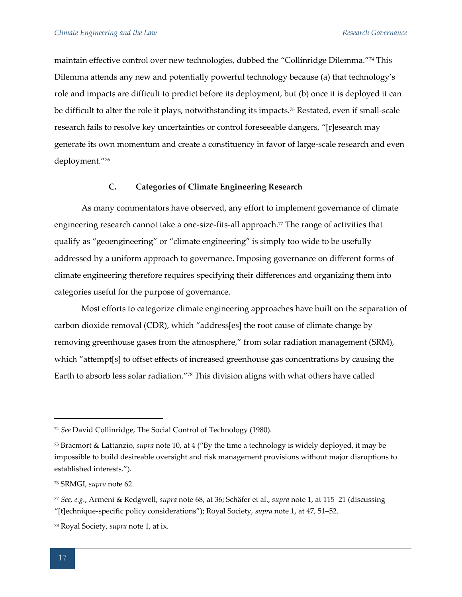maintain effective control over new technologies, dubbed the "Collinridge Dilemma."<sup>74</sup> This Dilemma attends any new and potentially powerful technology because (a) that technology's role and impacts are difficult to predict before its deployment, but (b) once it is deployed it can be difficult to alter the role it plays, notwithstanding its impacts.<sup>75</sup> Restated, even if small-scale research fails to resolve key uncertainties or control foreseeable dangers, "[r]esearch may generate its own momentum and create a constituency in favor of large-scale research and even deployment."<sup>76</sup>

# **C. Categories of Climate Engineering Research**

As many commentators have observed, any effort to implement governance of climate engineering research cannot take a one-size-fits-all approach.<sup>77</sup> The range of activities that qualify as "geoengineering" or "climate engineering" is simply too wide to be usefully addressed by a uniform approach to governance. Imposing governance on different forms of climate engineering therefore requires specifying their differences and organizing them into categories useful for the purpose of governance.

Most efforts to categorize climate engineering approaches have built on the separation of carbon dioxide removal (CDR), which "address[es] the root cause of climate change by removing greenhouse gases from the atmosphere," from solar radiation management (SRM), which "attempt[s] to offset effects of increased greenhouse gas concentrations by causing the Earth to absorb less solar radiation."<sup>78</sup> This division aligns with what others have called

<sup>74</sup> *See* David Collinridge, The Social Control of Technology (1980).

<sup>75</sup> Bracmort & Lattanzio, *supra* note 10, at 4 ("By the time a technology is widely deployed, it may be impossible to build desireable oversight and risk management provisions without major disruptions to established interests.").

<sup>76</sup> SRMGI, *supra* note 62.

<sup>77</sup> *See, e.g.*, Armeni & Redgwell, *supra* note 68, at 36; Schäfer et al., *supra* note 1, at 115–21 (discussing "[t]echnique-specific policy considerations"); Royal Society, *supra* note 1, at 47, 51–52.

<sup>78</sup> Royal Society, *supra* note 1, at ix.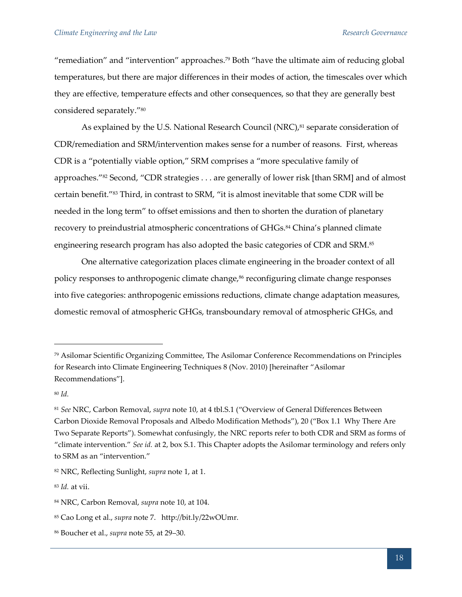"remediation" and "intervention" approaches.<sup>79</sup> Both "have the ultimate aim of reducing global temperatures, but there are major differences in their modes of action, the timescales over which they are effective, temperature effects and other consequences, so that they are generally best considered separately."<sup>80</sup>

As explained by the U.S. National Research Council (NRC),<sup>81</sup> separate consideration of CDR/remediation and SRM/intervention makes sense for a number of reasons. First, whereas CDR is a "potentially viable option," SRM comprises a "more speculative family of approaches."<sup>82</sup> Second, "CDR strategies . . . are generally of lower risk [than SRM] and of almost certain benefit."<sup>83</sup> Third, in contrast to SRM, "it is almost inevitable that some CDR will be needed in the long term" to offset emissions and then to shorten the duration of planetary recovery to preindustrial atmospheric concentrations of GHGs.<sup>84</sup> China's planned climate engineering research program has also adopted the basic categories of CDR and SRM.<sup>85</sup>

One alternative categorization places climate engineering in the broader context of all policy responses to anthropogenic climate change, $86$  reconfiguring climate change responses into five categories: anthropogenic emissions reductions, climate change adaptation measures, domestic removal of atmospheric GHGs, transboundary removal of atmospheric GHGs, and

<sup>80</sup> *Id.*

 $\overline{a}$ 

<sup>83</sup> *Id.* at vii.

<sup>79</sup> Asilomar Scientific Organizing Committee, The Asilomar Conference Recommendations on Principles for Research into Climate Engineering Techniques 8 (Nov. 2010) [hereinafter "Asilomar Recommendations"].

<sup>81</sup> *See* NRC, Carbon Removal, *supra* note 10, at 4 tbl.S.1 ("Overview of General Differences Between Carbon Dioxide Removal Proposals and Albedo Modification Methods"), 20 ("Box 1.1 Why There Are Two Separate Reports"). Somewhat confusingly, the NRC reports refer to both CDR and SRM as forms of "climate intervention." *See id.* at 2, box S.1. This Chapter adopts the Asilomar terminology and refers only to SRM as an "intervention."

<sup>82</sup> NRC, Reflecting Sunlight, *supra* note 1, at 1.

<sup>84</sup> NRC, Carbon Removal, *supra* note 10, at 104.

<sup>85</sup> Cao Long et al., *supra* note 7. http://bit.ly/22wOUmr.

<sup>86</sup> Boucher et al., *supra* note 55, at 29–30.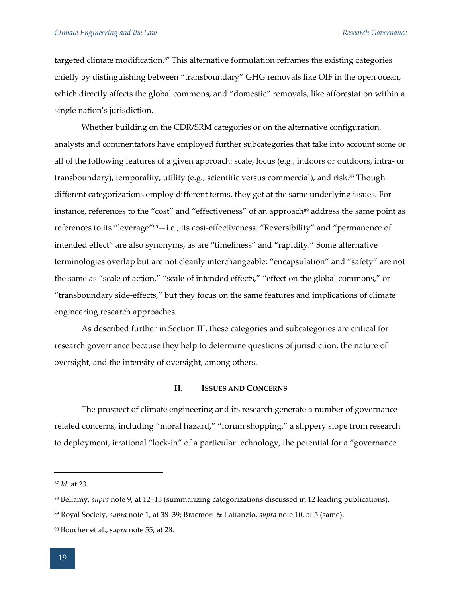targeted climate modification.<sup>87</sup> This alternative formulation reframes the existing categories chiefly by distinguishing between "transboundary" GHG removals like OIF in the open ocean, which directly affects the global commons, and "domestic" removals, like afforestation within a single nation's jurisdiction.

Whether building on the CDR/SRM categories or on the alternative configuration, analysts and commentators have employed further subcategories that take into account some or all of the following features of a given approach: scale, locus (e.g., indoors or outdoors, intra- or transboundary), temporality, utility (e.g., scientific versus commercial), and risk.<sup>88</sup> Though different categorizations employ different terms, they get at the same underlying issues. For instance, references to the "cost" and "effectiveness" of an approach<sup>89</sup> address the same point as references to its "leverage"90—i.e., its cost-effectiveness. "Reversibility" and "permanence of intended effect" are also synonyms, as are "timeliness" and "rapidity." Some alternative terminologies overlap but are not cleanly interchangeable: "encapsulation" and "safety" are not the same as "scale of action," "scale of intended effects," "effect on the global commons," or "transboundary side-effects," but they focus on the same features and implications of climate engineering research approaches.

As described further in Section III, these categories and subcategories are critical for research governance because they help to determine questions of jurisdiction, the nature of oversight, and the intensity of oversight, among others.

#### **II. ISSUES AND CONCERNS**

The prospect of climate engineering and its research generate a number of governancerelated concerns, including "moral hazard," "forum shopping," a slippery slope from research to deployment, irrational "lock-in" of a particular technology, the potential for a "governance

<sup>87</sup> *Id.* at 23.

<sup>88</sup> Bellamy, *supra* note 9, at 12–13 (summarizing categorizations discussed in 12 leading publications).

<sup>89</sup> Royal Society, *supra* note 1, at 38–39; Bracmort & Lattanzio, *supra* note 10, at 5 (same).

<sup>90</sup> Boucher et al., *supra* note 55, at 28.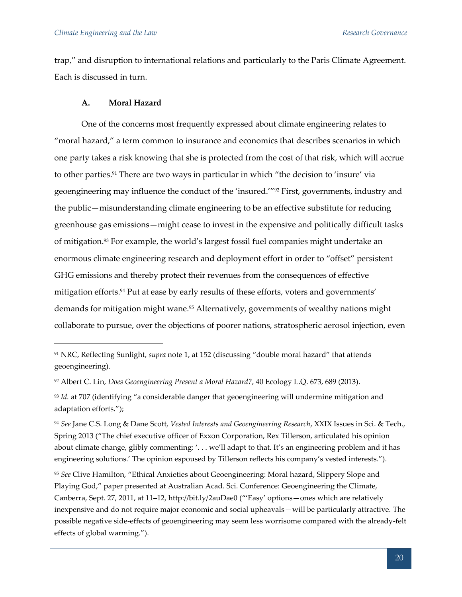trap," and disruption to international relations and particularly to the Paris Climate Agreement. Each is discussed in turn.

#### **A. Moral Hazard**

One of the concerns most frequently expressed about climate engineering relates to "moral hazard," a term common to insurance and economics that describes scenarios in which one party takes a risk knowing that she is protected from the cost of that risk, which will accrue to other parties.<sup>91</sup> There are two ways in particular in which "the decision to 'insure' via geoengineering may influence the conduct of the 'insured.'"<sup>92</sup> First, governments, industry and the public—misunderstanding climate engineering to be an effective substitute for reducing greenhouse gas emissions—might cease to invest in the expensive and politically difficult tasks of mitigation.<sup>93</sup> For example, the world's largest fossil fuel companies might undertake an enormous climate engineering research and deployment effort in order to "offset" persistent GHG emissions and thereby protect their revenues from the consequences of effective mitigation efforts.<sup>94</sup> Put at ease by early results of these efforts, voters and governments' demands for mitigation might wane.<sup>95</sup> Alternatively, governments of wealthy nations might collaborate to pursue, over the objections of poorer nations, stratospheric aerosol injection, even

<sup>95</sup> *See* Clive Hamilton, "Ethical Anxieties about Geoengineering: Moral hazard, Slippery Slope and Playing God," paper presented at Australian Acad. Sci. Conference: Geoengineering the Climate, Canberra, Sept. 27, 2011, at 11–12, http://bit.ly/2auDae0 ("'Easy' options—ones which are relatively inexpensive and do not require major economic and social upheavals—will be particularly attractive. The possible negative side-effects of geoengineering may seem less worrisome compared with the already-felt effects of global warming.").

<sup>91</sup> NRC, Reflecting Sunlight, *supra* note 1, at 152 (discussing "double moral hazard" that attends geoengineering).

<sup>92</sup> Albert C. Lin, *Does Geoengineering Present a Moral Hazard?*, 40 Ecology L.Q. 673, 689 (2013).

<sup>93</sup> *Id.* at 707 (identifying "a considerable danger that geoengineering will undermine mitigation and adaptation efforts.");

<sup>94</sup> *See* Jane C.S. Long & Dane Scott, *Vested Interests and Geoengineering Research*, XXIX Issues in Sci. & Tech., Spring 2013 ("The chief executive officer of Exxon Corporation, Rex Tillerson, articulated his opinion about climate change, glibly commenting: '... we'll adapt to that. It's an engineering problem and it has engineering solutions.' The opinion espoused by Tillerson reflects his company's vested interests.").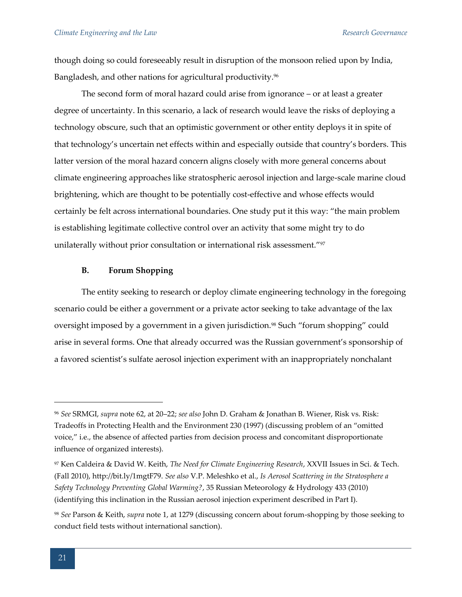though doing so could foreseeably result in disruption of the monsoon relied upon by India, Bangladesh, and other nations for agricultural productivity.<sup>96</sup>

The second form of moral hazard could arise from ignorance – or at least a greater degree of uncertainty. In this scenario, a lack of research would leave the risks of deploying a technology obscure, such that an optimistic government or other entity deploys it in spite of that technology's uncertain net effects within and especially outside that country's borders. This latter version of the moral hazard concern aligns closely with more general concerns about climate engineering approaches like stratospheric aerosol injection and large-scale marine cloud brightening, which are thought to be potentially cost-effective and whose effects would certainly be felt across international boundaries. One study put it this way: "the main problem is establishing legitimate collective control over an activity that some might try to do unilaterally without prior consultation or international risk assessment."97

#### **B. Forum Shopping**

The entity seeking to research or deploy climate engineering technology in the foregoing scenario could be either a government or a private actor seeking to take advantage of the lax oversight imposed by a government in a given jurisdiction.<sup>98</sup> Such "forum shopping" could arise in several forms. One that already occurred was the Russian government's sponsorship of a favored scientist's sulfate aerosol injection experiment with an inappropriately nonchalant

<sup>96</sup> *See* SRMGI, *supra* note 62, at 20–22; *see also* John D. Graham & Jonathan B. Wiener, Risk vs. Risk: Tradeoffs in Protecting Health and the Environment 230 (1997) (discussing problem of an "omitted voice," i.e., the absence of affected parties from decision process and concomitant disproportionate influence of organized interests).

<sup>97</sup> Ken Caldeira & David W. Keith, *The Need for Climate Engineering Research*, XXVII Issues in Sci. & Tech. (Fall 2010), http://bit.ly/1mgtF79. *See also* V.P. Meleshko et al., *Is Aerosol Scattering in the Stratosphere a Safety Technology Preventing Global Warming?*, 35 Russian Meteorology & Hydrology 433 (2010) (identifying this inclination in the Russian aerosol injection experiment described in Part I).

<sup>98</sup> *See* Parson & Keith, *supra* note 1, at 1279 (discussing concern about forum-shopping by those seeking to conduct field tests without international sanction).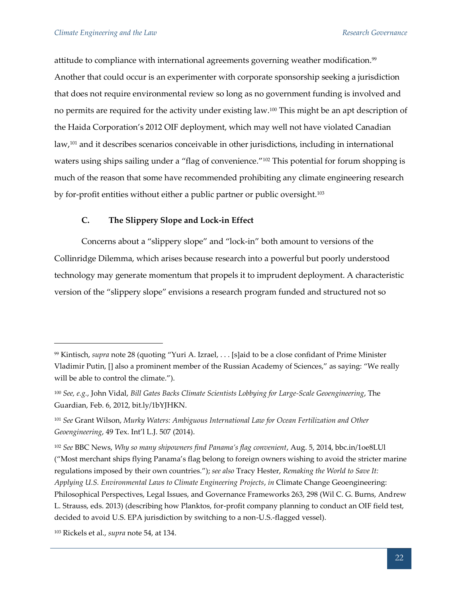attitude to compliance with international agreements governing weather modification.<sup>99</sup> Another that could occur is an experimenter with corporate sponsorship seeking a jurisdiction that does not require environmental review so long as no government funding is involved and no permits are required for the activity under existing law.<sup>100</sup> This might be an apt description of the Haida Corporation's 2012 OIF deployment, which may well not have violated Canadian law,<sup>101</sup> and it describes scenarios conceivable in other jurisdictions, including in international waters using ships sailing under a "flag of convenience."<sup>102</sup> This potential for forum shopping is much of the reason that some have recommended prohibiting any climate engineering research by for-profit entities without either a public partner or public oversight.<sup>103</sup>

# **C. The Slippery Slope and Lock-in Effect**

Concerns about a "slippery slope" and "lock-in" both amount to versions of the Collinridge Dilemma, which arises because research into a powerful but poorly understood technology may generate momentum that propels it to imprudent deployment. A characteristic version of the "slippery slope" envisions a research program funded and structured not so

<sup>103</sup> Rickels et al., *supra* note 54, at 134.

<sup>99</sup> Kintisch, *supra* note 28 (quoting "Yuri A. Izrael, . . . [s]aid to be a close confidant of Prime Minister Vladimir Putin, [] also a prominent member of the Russian Academy of Sciences," as saying: "We really will be able to control the climate.").

<sup>100</sup> *See, e.g.*, John Vidal, *Bill Gates Backs Climate Scientists Lobbying for Large-Scale Geoengineering*, The Guardian, Feb. 6, 2012, bit.ly/1bYJHKN.

<sup>101</sup> *See* Grant Wilson, *Murky Waters: Ambiguous International Law for Ocean Fertilization and Other Geoengineering*, 49 Tex. Int'l L.J. 507 (2014).

<sup>102</sup> *See* BBC News, *Why so many shipowners find Panama's flag convenient*, Aug. 5, 2014, bbc.in/1oe8LUl ("Most merchant ships flying Panama's flag belong to foreign owners wishing to avoid the stricter marine regulations imposed by their own countries."); *see also* Tracy Hester, *Remaking the World to Save It: Applying U.S. Environmental Laws to Climate Engineering Projects*, *in* Climate Change Geoengineering: Philosophical Perspectives, Legal Issues, and Governance Frameworks 263, 298 (Wil C. G. Burns, Andrew L. Strauss, eds. 2013) (describing how Planktos, for-profit company planning to conduct an OIF field test, decided to avoid U.S. EPA jurisdiction by switching to a non-U.S.-flagged vessel).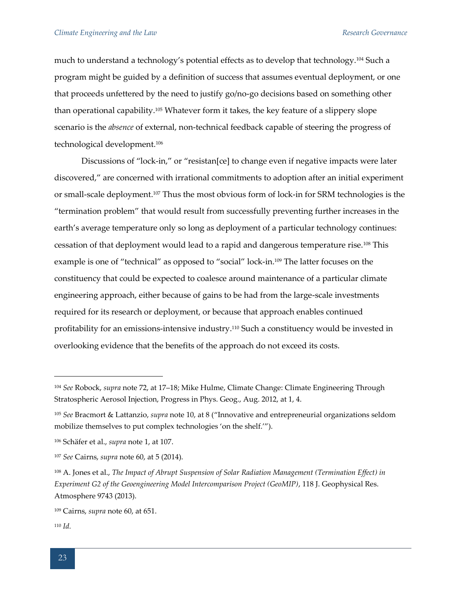much to understand a technology's potential effects as to develop that technology.<sup>104</sup> Such a program might be guided by a definition of success that assumes eventual deployment, or one that proceeds unfettered by the need to justify go/no-go decisions based on something other than operational capability.<sup>105</sup> Whatever form it takes, the key feature of a slippery slope scenario is the *absence* of external, non-technical feedback capable of steering the progress of technological development.<sup>106</sup>

Discussions of "lock-in," or "resistan[ce] to change even if negative impacts were later discovered," are concerned with irrational commitments to adoption after an initial experiment or small-scale deployment.<sup>107</sup> Thus the most obvious form of lock-in for SRM technologies is the "termination problem" that would result from successfully preventing further increases in the earth's average temperature only so long as deployment of a particular technology continues: cessation of that deployment would lead to a rapid and dangerous temperature rise.<sup>108</sup> This example is one of "technical" as opposed to "social" lock-in.<sup>109</sup> The latter focuses on the constituency that could be expected to coalesce around maintenance of a particular climate engineering approach, either because of gains to be had from the large-scale investments required for its research or deployment, or because that approach enables continued profitability for an emissions-intensive industry.<sup>110</sup> Such a constituency would be invested in overlooking evidence that the benefits of the approach do not exceed its costs.

<sup>104</sup> *See* Robock, *supra* note 72, at 17–18; Mike Hulme, Climate Change: Climate Engineering Through Stratospheric Aerosol Injection, Progress in Phys. Geog., Aug. 2012, at 1, 4.

<sup>105</sup> *See* Bracmort & Lattanzio, *supra* note 10, at 8 ("Innovative and entrepreneurial organizations seldom mobilize themselves to put complex technologies 'on the shelf.'").

<sup>106</sup> Schäfer et al., *supra* note 1, at 107.

<sup>107</sup> *See* Cairns, *supra* note 60, at 5 (2014).

<sup>108</sup> A. Jones et al., *The Impact of Abrupt Suspension of Solar Radiation Management (Termination Effect) in Experiment G2 of the Geoengineering Model Intercomparison Project (GeoMIP)*, 118 J. Geophysical Res. Atmosphere 9743 (2013).

<sup>109</sup> Cairns, *supra* note 60, at 651.

<sup>110</sup> *Id.*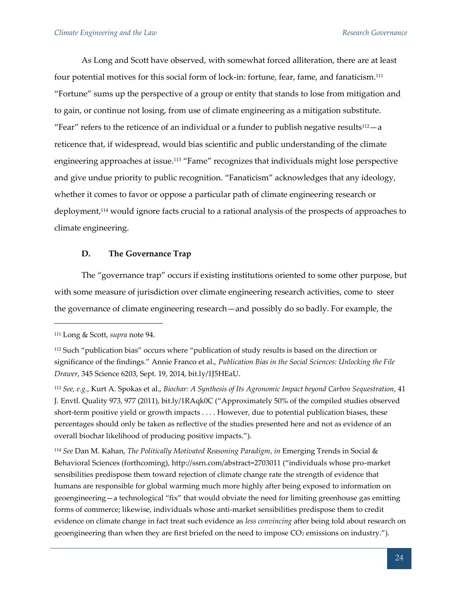As Long and Scott have observed, with somewhat forced alliteration, there are at least four potential motives for this social form of lock-in: fortune, fear, fame, and fanaticism.<sup>111</sup> "Fortune" sums up the perspective of a group or entity that stands to lose from mitigation and to gain, or continue not losing, from use of climate engineering as a mitigation substitute. "Fear" refers to the reticence of an individual or a funder to publish negative results<sup>112</sup> $-a$ reticence that, if widespread, would bias scientific and public understanding of the climate engineering approaches at issue.<sup>113</sup> "Fame" recognizes that individuals might lose perspective and give undue priority to public recognition. "Fanaticism" acknowledges that any ideology, whether it comes to favor or oppose a particular path of climate engineering research or deployment,<sup>114</sup> would ignore facts crucial to a rational analysis of the prospects of approaches to climate engineering.

# **D. The Governance Trap**

The "governance trap" occurs if existing institutions oriented to some other purpose, but with some measure of jurisdiction over climate engineering research activities, come to steer the governance of climate engineering research—and possibly do so badly. For example, the

 $\overline{a}$ 

<sup>114</sup> *See* Dan M. Kahan, *The Politically Motivated Reasoning Paradigm*, *in* Emerging Trends in Social & Behavioral Sciences (forthcoming), http://ssrn.com/abstract=2703011 ("individuals whose pro-market sensibilities predispose them toward rejection of climate change rate the strength of evidence that humans are responsible for global warming much more highly after being exposed to information on geoengineering—a technological "fix" that would obviate the need for limiting greenhouse gas emitting forms of commerce; likewise, individuals whose anti-market sensibilities predispose them to credit evidence on climate change in fact treat such evidence as *less convincing* after being told about research on geoengineering than when they are first briefed on the need to impose  $CO<sub>2</sub>$  emissions on industry.").

<sup>111</sup> Long & Scott, *supra* note 94.

<sup>&</sup>lt;sup>112</sup> Such "publication bias" occurs where "publication of study results is based on the direction or significance of the findings." Annie Franco et al., *Publication Bias in the Social Sciences: Unlocking the File Drawer*, 345 Science 6203, Sept. 19, 2014, bit.ly/1J5HEaU.

<sup>113</sup> *See, e.g.*, Kurt A. Spokas et al., *Biochar: A Synthesis of Its Agronomic Impact beyond Carbon Sequestration*, 41 J. Envtl. Quality 973, 977 (2011), bit.ly/1RAqk0C ("Approximately 50% of the compiled studies observed short-term positive yield or growth impacts . . . . However, due to potential publication biases, these percentages should only be taken as reflective of the studies presented here and not as evidence of an overall biochar likelihood of producing positive impacts.").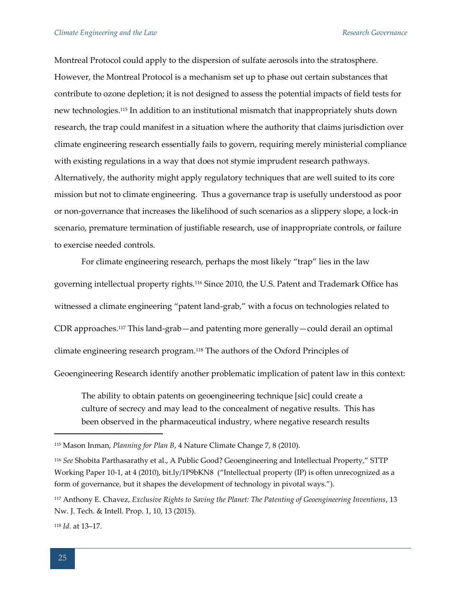Montreal Protocol could apply to the dispersion of sulfate aerosols into the stratosphere. However, the Montreal Protocol is a mechanism set up to phase out certain substances that contribute to ozone depletion; it is not designed to assess the potential impacts of field tests for new technologies.<sup>115</sup> In addition to an institutional mismatch that inappropriately shuts down research, the trap could manifest in a situation where the authority that claims jurisdiction over climate engineering research essentially fails to govern, requiring merely ministerial compliance with existing regulations in a way that does not stymie imprudent research pathways. Alternatively, the authority might apply regulatory techniques that are well suited to its core mission but not to climate engineering. Thus a governance trap is usefully understood as poor or non-governance that increases the likelihood of such scenarios as a slippery slope, a lock-in scenario, premature termination of justifiable research, use of inappropriate controls, or failure to exercise needed controls.

For climate engineering research, perhaps the most likely "trap" lies in the law governing intellectual property rights.<sup>116</sup> Since 2010, the U.S. Patent and Trademark Office has witnessed a climate engineering "patent land-grab," with a focus on technologies related to CDR approaches.<sup>117</sup> This land-grab—and patenting more generally—could derail an optimal climate engineering research program.<sup>118</sup> The authors of the Oxford Principles of

Geoengineering Research identify another problematic implication of patent law in this context:

The ability to obtain patents on geoengineering technique [sic] could create a culture of secrecy and may lead to the concealment of negative results. This has been observed in the pharmaceutical industry, where negative research results

<sup>118</sup> *Id.* at 13–17.

<sup>115</sup> Mason Inman, *Planning for Plan B*, 4 Nature Climate Change 7, 8 (2010).

<sup>116</sup> *See* Shobita Parthasarathy et al., A Public Good? Geoengineering and Intellectual Property," STTP Working Paper 10-1, at 4 (2010), bit.ly/1P9bKN8 ("Intellectual property (IP) is often unrecognized as a form of governance, but it shapes the development of technology in pivotal ways.").

<sup>117</sup> Anthony E. Chavez, *Exclusive Rights to Saving the Planet: The Patenting of Geoengineering Inventions*, 13 Nw. J. Tech. & Intell. Prop. 1, 10, 13 (2015).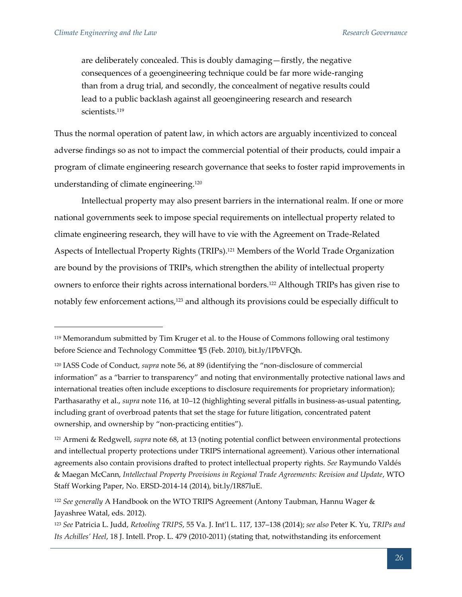are deliberately concealed. This is doubly damaging—firstly, the negative consequences of a geoengineering technique could be far more wide-ranging than from a drug trial, and secondly, the concealment of negative results could lead to a public backlash against all geoengineering research and research scientists.<sup>119</sup>

Thus the normal operation of patent law, in which actors are arguably incentivized to conceal adverse findings so as not to impact the commercial potential of their products, could impair a program of climate engineering research governance that seeks to foster rapid improvements in understanding of climate engineering.<sup>120</sup>

Intellectual property may also present barriers in the international realm. If one or more national governments seek to impose special requirements on intellectual property related to climate engineering research, they will have to vie with the Agreement on Trade-Related Aspects of Intellectual Property Rights (TRIPs).<sup>121</sup> Members of the World Trade Organization are bound by the provisions of TRIPs, which strengthen the ability of intellectual property owners to enforce their rights across international borders.<sup>122</sup> Although TRIPs has given rise to notably few enforcement actions,<sup>123</sup> and although its provisions could be especially difficult to

<sup>119</sup> Memorandum submitted by Tim Kruger et al. to the House of Commons following oral testimony before Science and Technology Committee ¶5 (Feb. 2010), bit.ly/1PbVFQh.

<sup>120</sup> IASS Code of Conduct, *supra* note 56, at 89 (identifying the "non-disclosure of commercial information" as a "barrier to transparency" and noting that environmentally protective national laws and international treaties often include exceptions to disclosure requirements for proprietary information); Parthasarathy et al., *supra* note 116, at 10–12 (highlighting several pitfalls in business-as-usual patenting, including grant of overbroad patents that set the stage for future litigation, concentrated patent ownership, and ownership by "non-practicing entities").

<sup>121</sup> Armeni & Redgwell, *supra* note 68, at 13 (noting potential conflict between environmental protections and intellectual property protections under TRIPS international agreement). Various other international agreements also contain provisions drafted to protect intellectual property rights. *See* Raymundo Valdés & Maegan McCann, *Intellectual Property Provisions in Regional Trade Agreements: Revision and Update*, WTO Staff Working Paper, No. ERSD-2014-14 (2014), bit.ly/1R87luE.

<sup>122</sup> *See generally* A Handbook on the WTO TRIPS Agreement (Antony Taubman, Hannu Wager & Jayashree Watal, eds. 2012).

<sup>123</sup> *See* Patricia L. Judd, *Retooling TRIPS*, 55 Va. J. Int'l L. 117, 137–138 (2014); *see also* Peter K. Yu, *TRIPs and Its Achilles' Heel*, 18 J. Intell. Prop. L. 479 (2010-2011) (stating that, notwithstanding its enforcement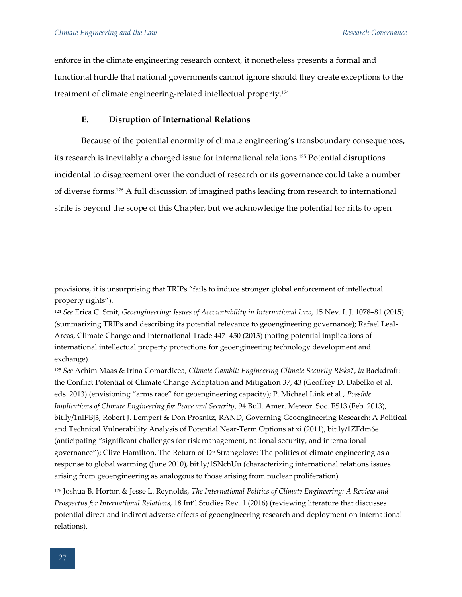enforce in the climate engineering research context, it nonetheless presents a formal and functional hurdle that national governments cannot ignore should they create exceptions to the treatment of climate engineering-related intellectual property.<sup>124</sup>

# **E. Disruption of International Relations**

Because of the potential enormity of climate engineering's transboundary consequences, its research is inevitably a charged issue for international relations.<sup>125</sup> Potential disruptions incidental to disagreement over the conduct of research or its governance could take a number of diverse forms.<sup>126</sup> A full discussion of imagined paths leading from research to international strife is beyond the scope of this Chapter, but we acknowledge the potential for rifts to open

provisions, it is unsurprising that TRIPs "fails to induce stronger global enforcement of intellectual property rights").

<sup>126</sup> Joshua B. Horton & Jesse L. Reynolds, *The International Politics of Climate Engineering: A Review and Prospectus for International Relations*, 18 Int'l Studies Rev. 1 (2016) (reviewing literature that discusses potential direct and indirect adverse effects of geoengineering research and deployment on international relations).

<sup>124</sup> *See* Erica C. Smit, *Geoengineering: Issues of Accountability in International Law*, 15 Nev. L.J. 1078–81 (2015) (summarizing TRIPs and describing its potential relevance to geoengineering governance); Rafael Leal-Arcas, Climate Change and International Trade 447–450 (2013) (noting potential implications of international intellectual property protections for geoengineering technology development and exchange).

<sup>125</sup> *See* Achim Maas & Irina Comardicea, *Climate Gambit: Engineering Climate Security Risks?*, *in* Backdraft: the Conflict Potential of Climate Change Adaptation and Mitigation 37, 43 (Geoffrey D. Dabelko et al. eds. 2013) (envisioning "arms race" for geoengineering capacity); P. Michael Link et al., *Possible Implications of Climate Engineering for Peace and Security*, 94 Bull. Amer. Meteor. Soc. ES13 (Feb. 2013), bit.ly/1niPBj3; Robert J. Lempert & Don Prosnitz, RAND, Governing Geoengineering Research: A Political and Technical Vulnerability Analysis of Potential Near-Term Options at xi (2011), bit.ly/1ZFdm6e (anticipating "significant challenges for risk management, national security, and international governance"); Clive Hamilton, The Return of Dr Strangelove: The politics of climate engineering as a response to global warming (June 2010), bit.ly/1SNchUu (characterizing international relations issues arising from geoengineering as analogous to those arising from nuclear proliferation).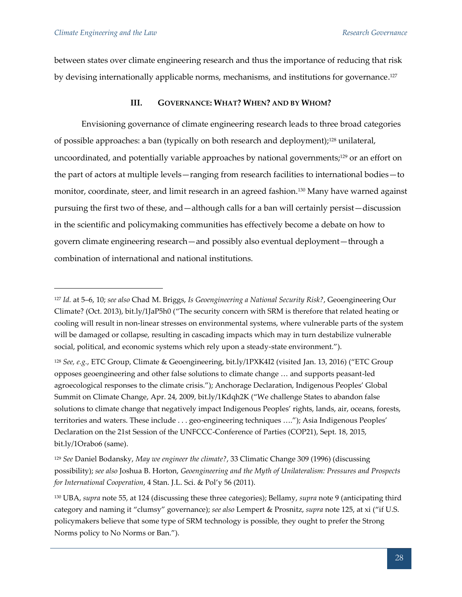between states over climate engineering research and thus the importance of reducing that risk by devising internationally applicable norms, mechanisms, and institutions for governance.<sup>127</sup>

## **III. GOVERNANCE: WHAT? WHEN? AND BY WHOM?**

Envisioning governance of climate engineering research leads to three broad categories of possible approaches: a ban (typically on both research and deployment);<sup>128</sup> unilateral, uncoordinated, and potentially variable approaches by national governments;<sup>129</sup> or an effort on the part of actors at multiple levels—ranging from research facilities to international bodies—to monitor, coordinate, steer, and limit research in an agreed fashion.<sup>130</sup> Many have warned against pursuing the first two of these, and—although calls for a ban will certainly persist—discussion in the scientific and policymaking communities has effectively become a debate on how to govern climate engineering research—and possibly also eventual deployment—through a combination of international and national institutions.

<sup>127</sup> *Id.* at 5–6, 10; *see also* Chad M. Briggs, *Is Geoengineering a National Security Risk?*, Geoengineering Our Climate? (Oct. 2013), bit.ly/1JaP5h0 ("The security concern with SRM is therefore that related heating or cooling will result in non-linear stresses on environmental systems, where vulnerable parts of the system will be damaged or collapse, resulting in cascading impacts which may in turn destabilize vulnerable social, political, and economic systems which rely upon a steady-state environment.").

<sup>128</sup> *See, e.g.*, ETC Group, Climate & Geoengineering, bit.ly/1PXK4I2 (visited Jan. 13, 2016) ("ETC Group opposes geoengineering and other false solutions to climate change … and supports peasant-led agroecological responses to the climate crisis."); Anchorage Declaration, Indigenous Peoples' Global Summit on Climate Change, Apr. 24, 2009, bit.ly/1Kdqh2K ("We challenge States to abandon false solutions to climate change that negatively impact Indigenous Peoples' rights, lands, air, oceans, forests, territories and waters. These include . . . geo-engineering techniques …."); Asia Indigenous Peoples' Declaration on the 21st Session of the UNFCCC-Conference of Parties (COP21), Sept. 18, 2015, bit.ly/1Orabo6 (same).

<sup>129</sup> *See* Daniel Bodansky, *May we engineer the climate?*, 33 Climatic Change 309 (1996) (discussing possibility); *see also* Joshua B. Horton, *Geoengineering and the Myth of Unilateralism: Pressures and Prospects for International Cooperation*, 4 Stan. J.L. Sci. & Pol'y 56 (2011).

<sup>130</sup> UBA, *supra* note 55, at 124 (discussing these three categories); Bellamy, *supra* note 9 (anticipating third category and naming it "clumsy" governance); *see also* Lempert & Prosnitz, *supra* note 125, at xi ("if U.S. policymakers believe that some type of SRM technology is possible, they ought to prefer the Strong Norms policy to No Norms or Ban.").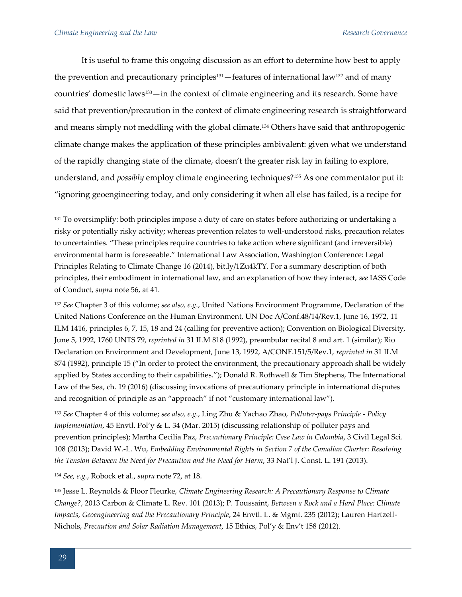It is useful to frame this ongoing discussion as an effort to determine how best to apply the prevention and precautionary principles<sup>131</sup> —features of international law<sup>132</sup> and of many countries' domestic laws133—in the context of climate engineering and its research. Some have said that prevention/precaution in the context of climate engineering research is straightforward and means simply not meddling with the global climate.<sup>134</sup> Others have said that anthropogenic climate change makes the application of these principles ambivalent: given what we understand of the rapidly changing state of the climate, doesn't the greater risk lay in failing to explore, understand, and *possibly* employ climate engineering techniques?<sup>135</sup> As one commentator put it: "ignoring geoengineering today, and only considering it when all else has failed, is a recipe for

<sup>132</sup> *See* Chapter 3 of this volume; *see also, e.g.*, United Nations Environment Programme, Declaration of the United Nations Conference on the Human Environment, UN Doc A/Conf.48/14/Rev.1, June 16, 1972, 11 ILM 1416, principles 6, 7, 15, 18 and 24 (calling for preventive action); Convention on Biological Diversity, June 5, 1992, 1760 UNTS 79, *reprinted in* 31 ILM 818 (1992), preambular recital 8 and art. 1 (similar); Rio Declaration on Environment and Development, June 13, 1992, A/CONF.151/5/Rev.1, *reprinted in* 31 ILM 874 (1992), principle 15 ("In order to protect the environment, the precautionary approach shall be widely applied by States according to their capabilities."); Donald R. Rothwell & Tim Stephens, The International Law of the Sea, ch. 19 (2016) (discussing invocations of precautionary principle in international disputes and recognition of principle as an "approach" if not "customary international law").

<sup>133</sup> *See* Chapter 4 of this volume; *see also, e.g.*, Ling Zhu & Yachao Zhao, *Polluter-pays Principle - Policy Implementation*, 45 Envtl. Pol'y & L. 34 (Mar. 2015) (discussing relationship of polluter pays and prevention principles); Martha Cecilia Paz, *Precautionary Principle: Case Law in Colombia*, 3 Civil Legal Sci. 108 (2013); David W.-L. Wu, *Embedding Environmental Rights in Section 7 of the Canadian Charter: Resolving the Tension Between the Need for Precaution and the Need for Harm*, 33 Nat'l J. Const. L. 191 (2013).

<sup>134</sup> *See, e.g.*, Robock et al., *supra* note 72, at 18.

<sup>135</sup> Jesse L. Reynolds & Floor Fleurke, *Climate Engineering Research: A Precautionary Response to Climate Change?*, 2013 Carbon & Climate L. Rev. 101 (2013); P. Toussaint, *Between a Rock and a Hard Place: Climate Impacts, Geoengineering and the Precautionary Principle*, 24 Envtl. L. & Mgmt. 235 (2012); Lauren Hartzell-Nichols, *Precaution and Solar Radiation Management*, 15 Ethics, Pol'y & Env't 158 (2012).

<sup>&</sup>lt;sup>131</sup> To oversimplify: both principles impose a duty of care on states before authorizing or undertaking a risky or potentially risky activity; whereas prevention relates to well-understood risks, precaution relates to uncertainties. "These principles require countries to take action where significant (and irreversible) environmental harm is foreseeable." International Law Association, Washington Conference: Legal Principles Relating to Climate Change 16 (2014), bit.ly/1Zu4kTY. For a summary description of both principles, their embodiment in international law, and an explanation of how they interact, *see* IASS Code of Conduct, *supra* note 56, at 41.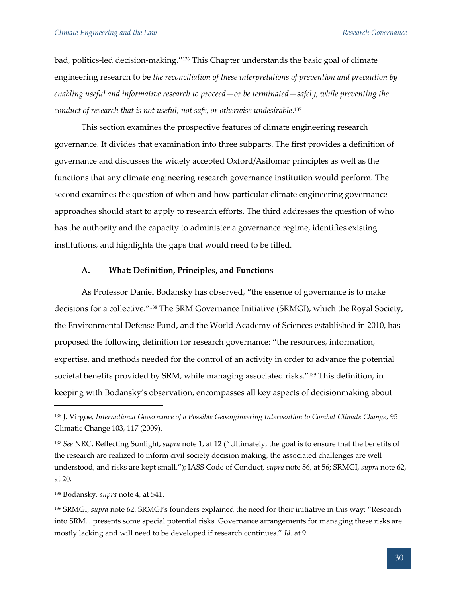bad, politics-led decision-making."<sup>136</sup> This Chapter understands the basic goal of climate engineering research to be *the reconciliation of these interpretations of prevention and precaution by enabling useful and informative research to proceed—or be terminated—safely, while preventing the conduct of research that is not useful, not safe, or otherwise undesirable*. 137

This section examines the prospective features of climate engineering research governance. It divides that examination into three subparts. The first provides a definition of governance and discusses the widely accepted Oxford/Asilomar principles as well as the functions that any climate engineering research governance institution would perform. The second examines the question of when and how particular climate engineering governance approaches should start to apply to research efforts. The third addresses the question of who has the authority and the capacity to administer a governance regime, identifies existing institutions, and highlights the gaps that would need to be filled.

#### **A. What: Definition, Principles, and Functions**

As Professor Daniel Bodansky has observed, "the essence of governance is to make decisions for a collective."<sup>138</sup> The SRM Governance Initiative (SRMGI), which the Royal Society, the Environmental Defense Fund, and the World Academy of Sciences established in 2010, has proposed the following definition for research governance: "the resources, information, expertise, and methods needed for the control of an activity in order to advance the potential societal benefits provided by SRM, while managing associated risks."<sup>139</sup> This definition, in keeping with Bodansky's observation, encompasses all key aspects of decisionmaking about

<sup>136</sup> J. Virgoe, *International Governance of a Possible Geoengineering Intervention to Combat Climate Change*, 95 Climatic Change 103, 117 (2009).

<sup>137</sup> *See* NRC, Reflecting Sunlight, *supra* note 1, at 12 ("Ultimately, the goal is to ensure that the benefits of the research are realized to inform civil society decision making, the associated challenges are well understood, and risks are kept small."); IASS Code of Conduct, *supra* note 56, at 56; SRMGI, *supra* note 62, at 20.

<sup>138</sup> Bodansky, *supra* note 4, at 541.

<sup>139</sup> SRMGI, *supra* note 62. SRMGI's founders explained the need for their initiative in this way: "Research into SRM…presents some special potential risks. Governance arrangements for managing these risks are mostly lacking and will need to be developed if research continues." *Id.* at 9.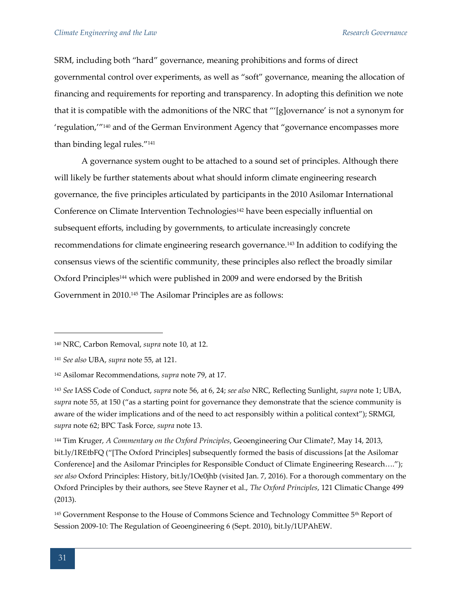SRM, including both "hard" governance, meaning prohibitions and forms of direct governmental control over experiments, as well as "soft" governance, meaning the allocation of financing and requirements for reporting and transparency. In adopting this definition we note that it is compatible with the admonitions of the NRC that "'[g]overnance' is not a synonym for 'regulation,'"<sup>140</sup> and of the German Environment Agency that "governance encompasses more than binding legal rules."<sup>141</sup>

A governance system ought to be attached to a sound set of principles. Although there will likely be further statements about what should inform climate engineering research governance, the five principles articulated by participants in the 2010 Asilomar International Conference on Climate Intervention Technologies<sup>142</sup> have been especially influential on subsequent efforts, including by governments, to articulate increasingly concrete recommendations for climate engineering research governance.<sup>143</sup> In addition to codifying the consensus views of the scientific community, these principles also reflect the broadly similar Oxford Principles<sup>144</sup> which were published in 2009 and were endorsed by the British Government in 2010.<sup>145</sup> The Asilomar Principles are as follows:

<sup>144</sup> Tim Kruger, *A Commentary on the Oxford Principles*, Geoengineering Our Climate?, May 14, 2013, bit.ly/1REtbFQ ("[The Oxford Principles] subsequently formed the basis of discussions [at the Asilomar Conference] and the Asilomar Principles for Responsible Conduct of Climate Engineering Research…."); *see also* Oxford Principles: History, bit.ly/1Oe0jhb (visited Jan. 7, 2016). For a thorough commentary on the Oxford Principles by their authors, see Steve Rayner et al., *The Oxford Principles*, 121 Climatic Change 499 (2013).

<sup>145</sup> Government Response to the House of Commons Science and Technology Committee 5<sup>th</sup> Report of Session 2009-10: The Regulation of Geoengineering 6 (Sept. 2010), bit.ly/1UPAhEW.

<sup>140</sup> NRC, Carbon Removal, *supra* note 10, at 12.

<sup>141</sup> *See also* UBA, *supra* note 55, at 121.

<sup>142</sup> Asilomar Recommendations, *supra* note 79, at 17.

<sup>143</sup> *See* IASS Code of Conduct, *supra* note 56, at 6, 24; *see also* NRC, Reflecting Sunlight, *supra* note 1; UBA, *supra* note 55, at 150 ("as a starting point for governance they demonstrate that the science community is aware of the wider implications and of the need to act responsibly within a political context"); SRMGI, *supra* note 62; BPC Task Force, *supra* note 13.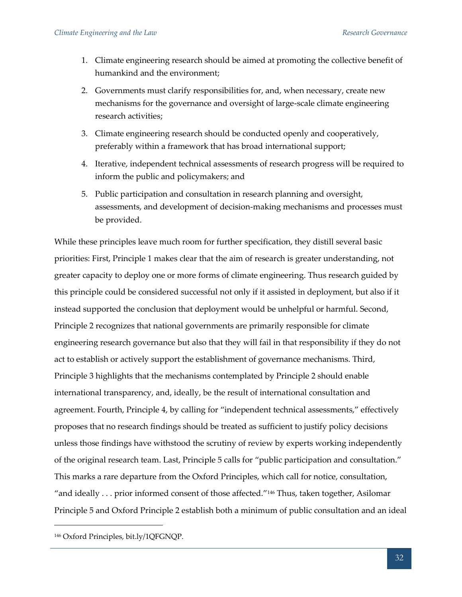- 1. Climate engineering research should be aimed at promoting the collective benefit of humankind and the environment;
- 2. Governments must clarify responsibilities for, and, when necessary, create new mechanisms for the governance and oversight of large-scale climate engineering research activities;
- 3. Climate engineering research should be conducted openly and cooperatively, preferably within a framework that has broad international support;
- 4. Iterative, independent technical assessments of research progress will be required to inform the public and policymakers; and
- 5. Public participation and consultation in research planning and oversight, assessments, and development of decision-making mechanisms and processes must be provided.

While these principles leave much room for further specification, they distill several basic priorities: First, Principle 1 makes clear that the aim of research is greater understanding, not greater capacity to deploy one or more forms of climate engineering. Thus research guided by this principle could be considered successful not only if it assisted in deployment, but also if it instead supported the conclusion that deployment would be unhelpful or harmful. Second, Principle 2 recognizes that national governments are primarily responsible for climate engineering research governance but also that they will fail in that responsibility if they do not act to establish or actively support the establishment of governance mechanisms. Third, Principle 3 highlights that the mechanisms contemplated by Principle 2 should enable international transparency, and, ideally, be the result of international consultation and agreement. Fourth, Principle 4, by calling for "independent technical assessments," effectively proposes that no research findings should be treated as sufficient to justify policy decisions unless those findings have withstood the scrutiny of review by experts working independently of the original research team. Last, Principle 5 calls for "public participation and consultation." This marks a rare departure from the Oxford Principles, which call for notice, consultation, "and ideally ... prior informed consent of those affected."<sup>146</sup> Thus, taken together, Asilomar Principle 5 and Oxford Principle 2 establish both a minimum of public consultation and an ideal

<sup>146</sup> Oxford Principles, bit.ly/1QFGNQP.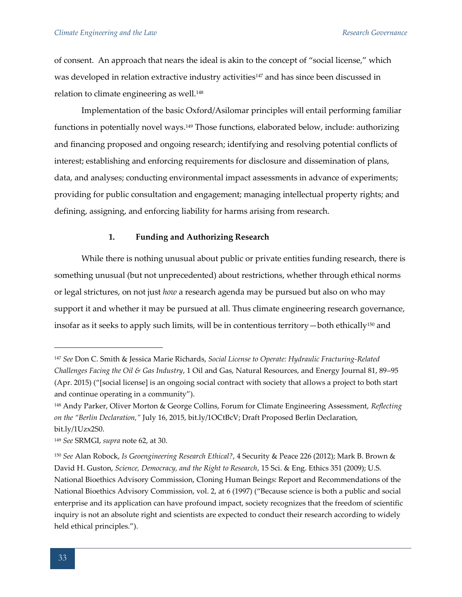of consent. An approach that nears the ideal is akin to the concept of "social license," which was developed in relation extractive industry activities<sup>147</sup> and has since been discussed in relation to climate engineering as well.<sup>148</sup>

Implementation of the basic Oxford/Asilomar principles will entail performing familiar functions in potentially novel ways.<sup>149</sup> Those functions, elaborated below, include: authorizing and financing proposed and ongoing research; identifying and resolving potential conflicts of interest; establishing and enforcing requirements for disclosure and dissemination of plans, data, and analyses; conducting environmental impact assessments in advance of experiments; providing for public consultation and engagement; managing intellectual property rights; and defining, assigning, and enforcing liability for harms arising from research.

#### **1. Funding and Authorizing Research**

While there is nothing unusual about public or private entities funding research, there is something unusual (but not unprecedented) about restrictions, whether through ethical norms or legal strictures, on not just *how* a research agenda may be pursued but also on who may support it and whether it may be pursued at all. Thus climate engineering research governance, insofar as it seeks to apply such limits, will be in contentious territory—both ethically<sup>150</sup> and

<sup>147</sup> *See* Don C. Smith & Jessica Marie Richards, *Social License to Operate: Hydraulic Fracturing-Related Challenges Facing the Oil & Gas Industry*, 1 Oil and Gas, Natural Resources, and Energy Journal 81, 89–95 (Apr. 2015) ("[social license] is an ongoing social contract with society that allows a project to both start and continue operating in a community").

<sup>148</sup> Andy Parker, Oliver Morton & George Collins, Forum for Climate Engineering Assessment, *Reflecting on the "Berlin Declaration,"* July 16, 2015, bit.ly/1OCtBcV; Draft Proposed Berlin Declaration, bit.ly/1Uzx2S0.

<sup>149</sup> *See* SRMGI, *supra* note 62, at 30.

<sup>150</sup> *See* Alan Robock, *Is Geoengineering Research Ethical?*, 4 Security & Peace 226 (2012); Mark B. Brown & David H. Guston, *Science, Democracy, and the Right to Research*, 15 Sci. & Eng. Ethics 351 (2009); U.S. National Bioethics Advisory Commission, Cloning Human Beings: Report and Recommendations of the National Bioethics Advisory Commission, vol. 2, at 6 (1997) ("Because science is both a public and social enterprise and its application can have profound impact, society recognizes that the freedom of scientific inquiry is not an absolute right and scientists are expected to conduct their research according to widely held ethical principles.").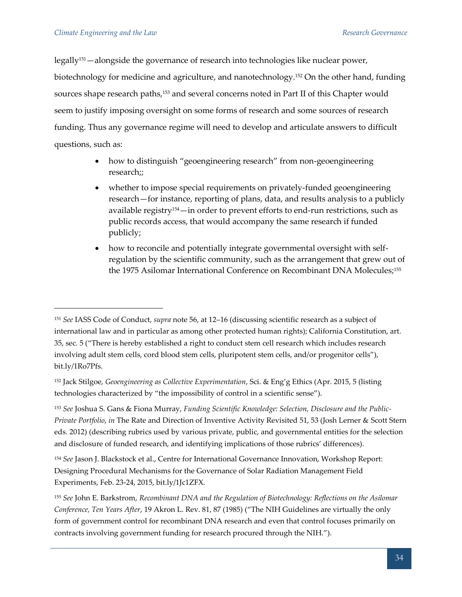legally151—alongside the governance of research into technologies like nuclear power, biotechnology for medicine and agriculture, and nanotechnology.<sup>152</sup> On the other hand, funding sources shape research paths,<sup>153</sup> and several concerns noted in Part II of this Chapter would seem to justify imposing oversight on some forms of research and some sources of research funding. Thus any governance regime will need to develop and articulate answers to difficult questions, such as:

- how to distinguish "geoengineering research" from non-geoengineering research;;
- whether to impose special requirements on privately-funded geoengineering research—for instance, reporting of plans, data, and results analysis to a publicly available registry154—in order to prevent efforts to end-run restrictions, such as public records access, that would accompany the same research if funded publicly;
- how to reconcile and potentially integrate governmental oversight with selfregulation by the scientific community, such as the arrangement that grew out of the 1975 Asilomar International Conference on Recombinant DNA Molecules;<sup>155</sup>

<sup>151</sup> *See* IASS Code of Conduct, *supra* note 56, at 12–16 (discussing scientific research as a subject of international law and in particular as among other protected human rights); California Constitution, art. 35, sec. 5 ("There is hereby established a right to conduct stem cell research which includes research involving adult stem cells, cord blood stem cells, pluripotent stem cells, and/or progenitor cells"), bit.ly/1Ro7Pfs.

<sup>152</sup> Jack Stilgoe, *Geoengineering as Collective Experimentation*, Sci. & Eng'g Ethics (Apr. 2015, 5 (listing technologies characterized by "the impossibility of control in a scientific sense").

<sup>153</sup> *See* Joshua S. Gans & Fiona Murray, *Funding Scientific Knowledge: Selection, Disclosure and the Public-Private Portfolio*, *in* The Rate and Direction of Inventive Activity Revisited 51, 53 (Josh Lerner & Scott Stern eds. 2012) (describing rubrics used by various private, public, and governmental entities for the selection and disclosure of funded research, and identifying implications of those rubrics' differences).

<sup>154</sup> *See* Jason J. Blackstock et al., Centre for International Governance Innovation, Workshop Report: Designing Procedural Mechanisms for the Governance of Solar Radiation Management Field Experiments, Feb. 23-24, 2015, bit.ly/1Jc1ZFX.

<sup>155</sup> *See* John E. Barkstrom, *Recombinant DNA and the Regulation of Biotechnology: Reflections on the Asilomar Conference, Ten Years After*, 19 Akron L. Rev. 81, 87 (1985) ("The NIH Guidelines are virtually the only form of government control for recombinant DNA research and even that control focuses primarily on contracts involving government funding for research procured through the NIH.").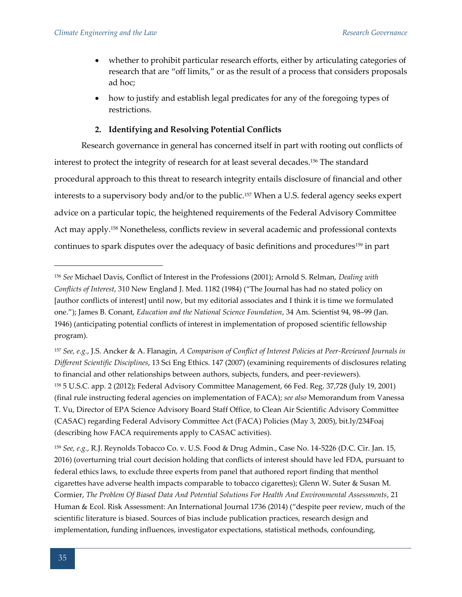- whether to prohibit particular research efforts, either by articulating categories of research that are "off limits," or as the result of a process that considers proposals ad hoc;
- how to justify and establish legal predicates for any of the foregoing types of restrictions.

# **2. Identifying and Resolving Potential Conflicts**

Research governance in general has concerned itself in part with rooting out conflicts of interest to protect the integrity of research for at least several decades.<sup>156</sup> The standard procedural approach to this threat to research integrity entails disclosure of financial and other interests to a supervisory body and/or to the public.<sup>157</sup> When a U.S. federal agency seeks expert advice on a particular topic, the heightened requirements of the Federal Advisory Committee Act may apply.<sup>158</sup> Nonetheless, conflicts review in several academic and professional contexts continues to spark disputes over the adequacy of basic definitions and procedures<sup>159</sup> in part

<sup>159</sup> *See, e.g.*, R.J. Reynolds Tobacco Co. v. U.S. Food & Drug Admin., Case No. 14-5226 (D.C. Cir. Jan. 15, 2016) (overturning trial court decision holding that conflicts of interest should have led FDA, pursuant to federal ethics laws, to exclude three experts from panel that authored report finding that menthol cigarettes have adverse health impacts comparable to tobacco cigarettes); Glenn W. Suter & Susan M. Cormier, *The Problem Of Biased Data And Potential Solutions For Health And Environmental Assessments*, 21 Human & Ecol. Risk Assessment: An International Journal 1736 (2014) ("despite peer review, much of the scientific literature is biased. Sources of bias include publication practices, research design and implementation, funding influences, investigator expectations, statistical methods, confounding,

<sup>156</sup> *See* Michael Davis, Conflict of Interest in the Professions (2001); Arnold S. Relman, *Dealing with Conflicts of Interest*, 310 New England J. Med. 1182 (1984) ("The Journal has had no stated policy on [author conflicts of interest] until now, but my editorial associates and I think it is time we formulated one."); James B. Conant, *Education and the National Science Foundation*, 34 Am. Scientist 94, 98–99 (Jan. 1946) (anticipating potential conflicts of interest in implementation of proposed scientific fellowship program).

<sup>157</sup> *See, e.g.*, J.S. Ancker & A. Flanagin, *A Comparison of Conflict of Interest Policies at Peer-Reviewed Journals in Different Scientific Disciplines*, 13 Sci Eng Ethics. 147 (2007) (examining requirements of disclosures relating to financial and other relationships between authors, subjects, funders, and peer-reviewers). <sup>158</sup> 5 U.S.C. app. 2 (2012); Federal Advisory Committee Management, 66 Fed. Reg. 37,728 (July 19, 2001) (final rule instructing federal agencies on implementation of FACA); *see also* Memorandum from Vanessa T. Vu, Director of EPA Science Advisory Board Staff Office, to Clean Air Scientific Advisory Committee (CASAC) regarding Federal Advisory Committee Act (FACA) Policies (May 3, 2005), bit.ly/234Foaj (describing how FACA requirements apply to CASAC activities).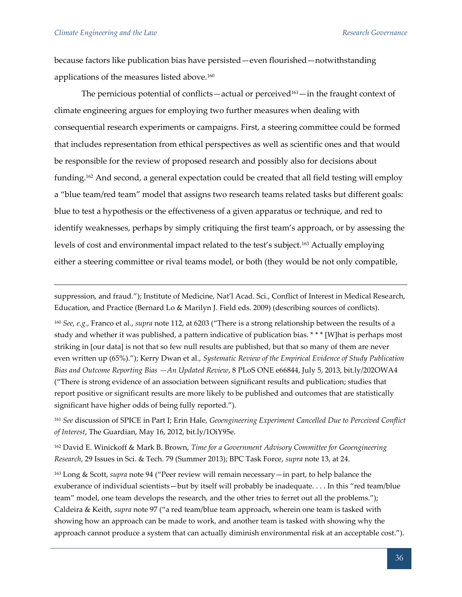because factors like publication bias have persisted—even flourished—notwithstanding applications of the measures listed above.<sup>160</sup>

The pernicious potential of conflicts—actual or perceived<sup>161</sup>—in the fraught context of climate engineering argues for employing two further measures when dealing with consequential research experiments or campaigns. First, a steering committee could be formed that includes representation from ethical perspectives as well as scientific ones and that would be responsible for the review of proposed research and possibly also for decisions about funding.<sup>162</sup> And second, a general expectation could be created that all field testing will employ a "blue team/red team" model that assigns two research teams related tasks but different goals: blue to test a hypothesis or the effectiveness of a given apparatus or technique, and red to identify weaknesses, perhaps by simply critiquing the first team's approach, or by assessing the levels of cost and environmental impact related to the test's subject.<sup>163</sup> Actually employing either a steering committee or rival teams model, or both (they would be not only compatible,

suppression, and fraud."); Institute of Medicine, Nat'l Acad. Sci., Conflict of Interest in Medical Research, Education, and Practice (Bernard Lo & Marilyn J. Field eds. 2009) (describing sources of conflicts).

<sup>160</sup> *See, e.g.*, Franco et al., *supra* note 112, at 6203 ("There is a strong relationship between the results of a study and whether it was published, a pattern indicative of publication bias. \* \* \* [W]hat is perhaps most striking in [our data] is not that so few null results are published, but that so many of them are never even written up (65%)."); Kerry Dwan et al., *Systematic Review of the Empirical Evidence of Study Publication Bias and Outcome Reporting Bias —An Updated Review*, 8 PLoS ONE e66844, July 5, 2013, bit.ly/202OWA4 ("There is strong evidence of an association between significant results and publication; studies that report positive or significant results are more likely to be published and outcomes that are statistically significant have higher odds of being fully reported.").

<sup>161</sup> *See* discussion of SPICE in Part I; Erin Hale, *Geoengineering Experiment Cancelled Due to Perceived Conflict of Interest*, The Guardian, May 16, 2012, bit.ly/1OiY95e.

<sup>162</sup> David E. Winickoff & Mark B. Brown, *Time for a Government Advisory Committee for Geoengineering Research*, 29 Issues in Sci. & Tech. 79 (Summer 2013); BPC Task Force, *supra* note 13, at 24.

<sup>163</sup> Long & Scott, *supra* note 94 ("Peer review will remain necessary—in part, to help balance the exuberance of individual scientists—but by itself will probably be inadequate. . . . In this "red team/blue team" model, one team develops the research, and the other tries to ferret out all the problems."); Caldeira & Keith, *supra* note 97 ("a red team/blue team approach, wherein one team is tasked with showing how an approach can be made to work, and another team is tasked with showing why the approach cannot produce a system that can actually diminish environmental risk at an acceptable cost.").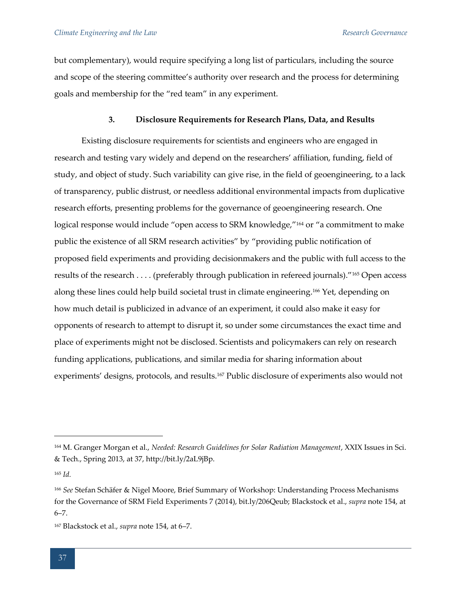but complementary), would require specifying a long list of particulars, including the source and scope of the steering committee's authority over research and the process for determining goals and membership for the "red team" in any experiment.

# **3. Disclosure Requirements for Research Plans, Data, and Results**

Existing disclosure requirements for scientists and engineers who are engaged in research and testing vary widely and depend on the researchers' affiliation, funding, field of study, and object of study. Such variability can give rise, in the field of geoengineering, to a lack of transparency, public distrust, or needless additional environmental impacts from duplicative research efforts, presenting problems for the governance of geoengineering research. One logical response would include "open access to SRM knowledge,"<sup>164</sup> or "a commitment to make public the existence of all SRM research activities" by "providing public notification of proposed field experiments and providing decisionmakers and the public with full access to the results of the research . . . . (preferably through publication in refereed journals)."<sup>165</sup> Open access along these lines could help build societal trust in climate engineering.<sup>166</sup> Yet, depending on how much detail is publicized in advance of an experiment, it could also make it easy for opponents of research to attempt to disrupt it, so under some circumstances the exact time and place of experiments might not be disclosed. Scientists and policymakers can rely on research funding applications, publications, and similar media for sharing information about experiments' designs, protocols, and results.<sup>167</sup> Public disclosure of experiments also would not

<sup>165</sup> *Id.*

<sup>164</sup> M. Granger Morgan et al., *Needed: Research Guidelines for Solar Radiation Management*, XXIX Issues in Sci. & Tech., Spring 2013, at 37, http://bit.ly/2aL9jBp.

<sup>166</sup> *See* Stefan Schäfer & Nigel Moore, Brief Summary of Workshop: Understanding Process Mechanisms for the Governance of SRM Field Experiments 7 (2014), bit.ly/206Qeub; Blackstock et al., *supra* note 154, at 6–7.

<sup>167</sup> Blackstock et al., *supra* note 154, at 6–7.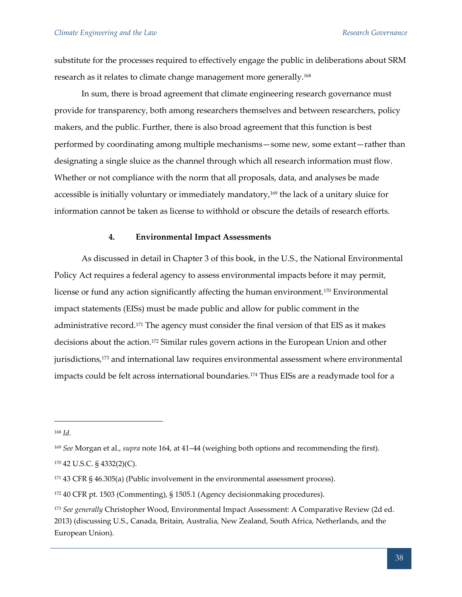substitute for the processes required to effectively engage the public in deliberations about SRM research as it relates to climate change management more generally.<sup>168</sup>

In sum, there is broad agreement that climate engineering research governance must provide for transparency, both among researchers themselves and between researchers, policy makers, and the public. Further, there is also broad agreement that this function is best performed by coordinating among multiple mechanisms—some new, some extant—rather than designating a single sluice as the channel through which all research information must flow. Whether or not compliance with the norm that all proposals, data, and analyses be made accessible is initially voluntary or immediately mandatory,<sup>169</sup> the lack of a unitary sluice for information cannot be taken as license to withhold or obscure the details of research efforts.

#### **4. Environmental Impact Assessments**

As discussed in detail in Chapter 3 of this book, in the U.S., the National Environmental Policy Act requires a federal agency to assess environmental impacts before it may permit, license or fund any action significantly affecting the human environment.<sup>170</sup> Environmental impact statements (EISs) must be made public and allow for public comment in the administrative record.<sup>171</sup> The agency must consider the final version of that EIS as it makes decisions about the action.<sup>172</sup> Similar rules govern actions in the European Union and other jurisdictions,<sup>173</sup> and international law requires environmental assessment where environmental impacts could be felt across international boundaries.<sup>174</sup> Thus EISs are a readymade tool for a

<sup>168</sup> *Id.*

<sup>169</sup> *See* Morgan et al., *supra* note 164, at 41–44 (weighing both options and recommending the first).

<sup>170</sup> 42 U.S.C. § 4332(2)(C).

<sup>171</sup> 43 CFR § 46.305(a) (Public involvement in the environmental assessment process).

<sup>172</sup> 40 CFR pt. 1503 (Commenting), § 1505.1 (Agency decisionmaking procedures).

<sup>173</sup> *See generally* Christopher Wood, Environmental Impact Assessment: A Comparative Review (2d ed. 2013) (discussing U.S., Canada, Britain, Australia, New Zealand, South Africa, Netherlands, and the European Union).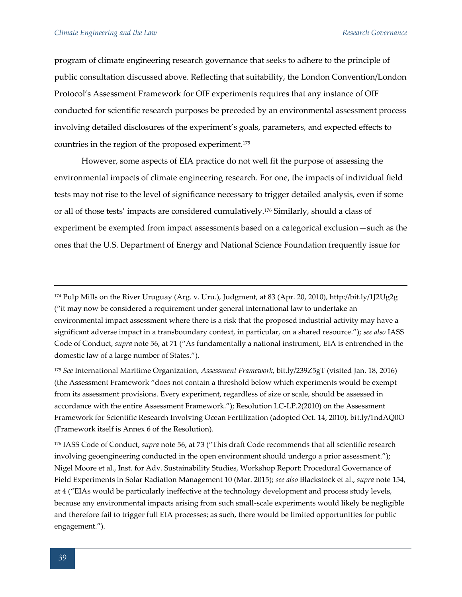program of climate engineering research governance that seeks to adhere to the principle of public consultation discussed above. Reflecting that suitability, the London Convention/London Protocol's Assessment Framework for OIF experiments requires that any instance of OIF conducted for scientific research purposes be preceded by an environmental assessment process involving detailed disclosures of the experiment's goals, parameters, and expected effects to countries in the region of the proposed experiment.<sup>175</sup>

However, some aspects of EIA practice do not well fit the purpose of assessing the environmental impacts of climate engineering research. For one, the impacts of individual field tests may not rise to the level of significance necessary to trigger detailed analysis, even if some or all of those tests' impacts are considered cumulatively.<sup>176</sup> Similarly, should a class of experiment be exempted from impact assessments based on a categorical exclusion—such as the ones that the U.S. Department of Energy and National Science Foundation frequently issue for

<sup>176</sup> IASS Code of Conduct, *supra* note 56, at 73 ("This draft Code recommends that all scientific research involving geoengineering conducted in the open environment should undergo a prior assessment."); Nigel Moore et al., Inst. for Adv. Sustainability Studies, Workshop Report: Procedural Governance of Field Experiments in Solar Radiation Management 10 (Mar. 2015); *see also* Blackstock et al., *supra* note 154, at 4 ("EIAs would be particularly ineffective at the technology development and process study levels, because any environmental impacts arising from such small-scale experiments would likely be negligible and therefore fail to trigger full EIA processes; as such, there would be limited opportunities for public engagement.").

<sup>174</sup> Pulp Mills on the River Uruguay (Arg. v. Uru.), Judgment, at 83 (Apr. 20, 2010), http://bit.ly/1J2Ug2g ("it may now be considered a requirement under general international law to undertake an environmental impact assessment where there is a risk that the proposed industrial activity may have a significant adverse impact in a transboundary context, in particular, on a shared resource."); *see also* IASS Code of Conduct, *supra* note 56, at 71 ("As fundamentally a national instrument, EIA is entrenched in the domestic law of a large number of States.").

<sup>175</sup> *See* International Maritime Organization, *Assessment Framework*, bit.ly/239Z5gT (visited Jan. 18, 2016) (the Assessment Framework "does not contain a threshold below which experiments would be exempt from its assessment provisions. Every experiment, regardless of size or scale, should be assessed in accordance with the entire Assessment Framework."); Resolution LC-LP.2(2010) on the Assessment Framework for Scientific Research Involving Ocean Fertilization (adopted Oct. 14, 2010), bit.ly/1ndAQ0O (Framework itself is Annex 6 of the Resolution).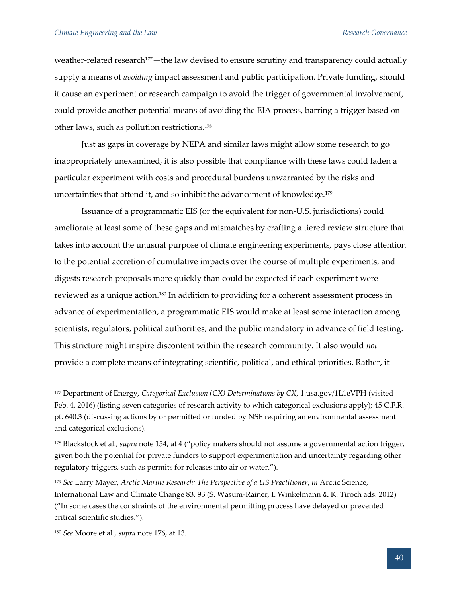weather-related research<sup>177</sup>—the law devised to ensure scrutiny and transparency could actually supply a means of *avoiding* impact assessment and public participation. Private funding, should it cause an experiment or research campaign to avoid the trigger of governmental involvement, could provide another potential means of avoiding the EIA process, barring a trigger based on other laws, such as pollution restrictions.<sup>178</sup>

Just as gaps in coverage by NEPA and similar laws might allow some research to go inappropriately unexamined, it is also possible that compliance with these laws could laden a particular experiment with costs and procedural burdens unwarranted by the risks and uncertainties that attend it, and so inhibit the advancement of knowledge.<sup>179</sup>

Issuance of a programmatic EIS (or the equivalent for non-U.S. jurisdictions) could ameliorate at least some of these gaps and mismatches by crafting a tiered review structure that takes into account the unusual purpose of climate engineering experiments, pays close attention to the potential accretion of cumulative impacts over the course of multiple experiments, and digests research proposals more quickly than could be expected if each experiment were reviewed as a unique action.<sup>180</sup> In addition to providing for a coherent assessment process in advance of experimentation, a programmatic EIS would make at least some interaction among scientists, regulators, political authorities, and the public mandatory in advance of field testing. This stricture might inspire discontent within the research community. It also would *not* provide a complete means of integrating scientific, political, and ethical priorities. Rather, it

<sup>177</sup> Department of Energy, *Categorical Exclusion (CX) Determinations by CX*, 1.usa.gov/1L1eVPH (visited Feb. 4, 2016) (listing seven categories of research activity to which categorical exclusions apply); 45 C.F.R. pt. 640.3 (discussing actions by or permitted or funded by NSF requiring an environmental assessment and categorical exclusions).

<sup>178</sup> Blackstock et al., *supra* note 154, at 4 ("policy makers should not assume a governmental action trigger, given both the potential for private funders to support experimentation and uncertainty regarding other regulatory triggers, such as permits for releases into air or water.").

<sup>179</sup> *See* Larry Mayer, *Arctic Marine Research: The Perspective of a US Practitioner*, *in* Arctic Science, International Law and Climate Change 83, 93 (S. Wasum-Rainer, I. Winkelmann & K. Tiroch ads. 2012) ("In some cases the constraints of the environmental permitting process have delayed or prevented critical scientific studies.").

<sup>180</sup> *See* Moore et al., *supra* note 176, at 13.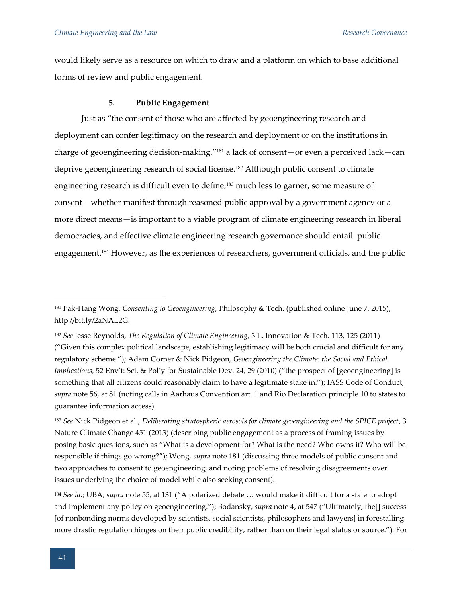would likely serve as a resource on which to draw and a platform on which to base additional forms of review and public engagement.

#### **5. Public Engagement**

Just as "the consent of those who are affected by geoengineering research and deployment can confer legitimacy on the research and deployment or on the institutions in charge of geoengineering decision-making,"<sup>181</sup> a lack of consent—or even a perceived lack—can deprive geoengineering research of social license.<sup>182</sup> Although public consent to climate engineering research is difficult even to define,<sup>183</sup> much less to garner, some measure of consent—whether manifest through reasoned public approval by a government agency or a more direct means—is important to a viable program of climate engineering research in liberal democracies, and effective climate engineering research governance should entail public engagement.<sup>184</sup> However, as the experiences of researchers, government officials, and the public

<sup>181</sup> Pak-Hang Wong, *Consenting to Geoengineering*, Philosophy & Tech. (published online June 7, 2015), http://bit.ly/2aNAL2G.

<sup>182</sup> *See* Jesse Reynolds, *The Regulation of Climate Engineering*, 3 L. Innovation & Tech. 113, 125 (2011) ("Given this complex political landscape, establishing legitimacy will be both crucial and difficult for any regulatory scheme."); Adam Corner & Nick Pidgeon, *Geoengineering the Climate: the Social and Ethical Implications,* 52 Env't: Sci. & Pol'y for Sustainable Dev. 24, 29 (2010) ("the prospect of [geoengineering] is something that all citizens could reasonably claim to have a legitimate stake in."); IASS Code of Conduct, *supra* note 56, at 81 (noting calls in Aarhaus Convention art. 1 and Rio Declaration principle 10 to states to guarantee information access).

<sup>183</sup> *See* Nick Pidgeon et al., *Deliberating stratospheric aerosols for climate geoengineering and the SPICE project*, 3 Nature Climate Change 451 (2013) (describing public engagement as a process of framing issues by posing basic questions, such as "What is a development for? What is the need? Who owns it? Who will be responsible if things go wrong?"); Wong, *supra* note 181 (discussing three models of public consent and two approaches to consent to geoengineering, and noting problems of resolving disagreements over issues underlying the choice of model while also seeking consent).

<sup>184</sup> *See id.*; UBA, *supra* note 55, at 131 ("A polarized debate … would make it difficult for a state to adopt and implement any policy on geoengineering."); Bodansky, *supra* note 4, at 547 ("Ultimately, the[] success [of nonbonding norms developed by scientists, social scientists, philosophers and lawyers] in forestalling more drastic regulation hinges on their public credibility, rather than on their legal status or source."). For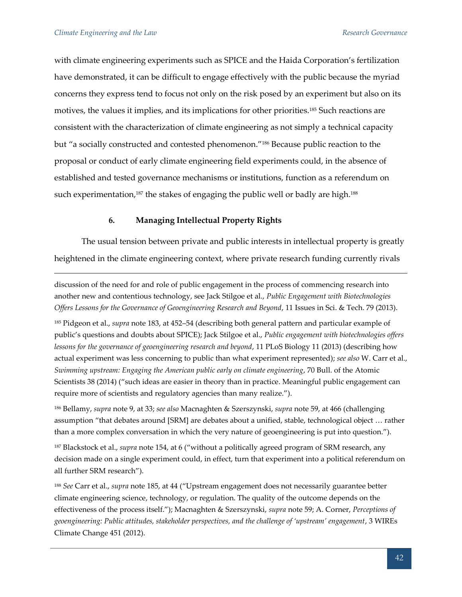with climate engineering experiments such as SPICE and the Haida Corporation's fertilization have demonstrated, it can be difficult to engage effectively with the public because the myriad concerns they express tend to focus not only on the risk posed by an experiment but also on its motives, the values it implies, and its implications for other priorities.<sup>185</sup> Such reactions are consistent with the characterization of climate engineering as not simply a technical capacity but "a socially constructed and contested phenomenon."<sup>186</sup> Because public reaction to the proposal or conduct of early climate engineering field experiments could, in the absence of established and tested governance mechanisms or institutions, function as a referendum on such experimentation,<sup>187</sup> the stakes of engaging the public well or badly are high.<sup>188</sup>

# **6. Managing Intellectual Property Rights**

The usual tension between private and public interests in intellectual property is greatly heightened in the climate engineering context, where private research funding currently rivals

discussion of the need for and role of public engagement in the process of commencing research into another new and contentious technology, see Jack Stilgoe et al., *Public Engagement with Biotechnologies Offers Lessons for the Governance of Geoengineering Research and Beyond*, 11 Issues in Sci. & Tech. 79 (2013).

<sup>185</sup> Pidgeon et al., *supra* note 183, at 452–54 (describing both general pattern and particular example of public's questions and doubts about SPICE); Jack Stilgoe et al., *Public engagement with biotechnologies offers lessons for the governance of geoengineering research and beyond*, 11 PLoS Biology 11 (2013) (describing how actual experiment was less concerning to public than what experiment represented); *see also* W. Carr et al., *Swimming upstream: Engaging the American public early on climate engineering*, 70 Bull. of the Atomic Scientists 38 (2014) ("such ideas are easier in theory than in practice. Meaningful public engagement can require more of scientists and regulatory agencies than many realize.").

<sup>186</sup> Bellamy, *supra* note 9, at 33; *see also* Macnaghten & Szerszynski, *supra* note 59, at 466 (challenging assumption "that debates around [SRM] are debates about a unified, stable, technological object … rather than a more complex conversation in which the very nature of geoengineering is put into question.").

<sup>187</sup> Blackstock et al., *supra* note 154, at 6 ("without a politically agreed program of SRM research, any decision made on a single experiment could, in effect, turn that experiment into a political referendum on all further SRM research").

<sup>188</sup> *See* Carr et al., *supra* note 185, at 44 ("Upstream engagement does not necessarily guarantee better climate engineering science, technology, or regulation. The quality of the outcome depends on the effectiveness of the process itself."); Macnaghten & Szerszynski, *supra* note 59; A. Corner, *Perceptions of geoengineering: Public attitudes, stakeholder perspectives, and the challenge of 'upstream' engagement*, 3 WIREs Climate Change 451 (2012).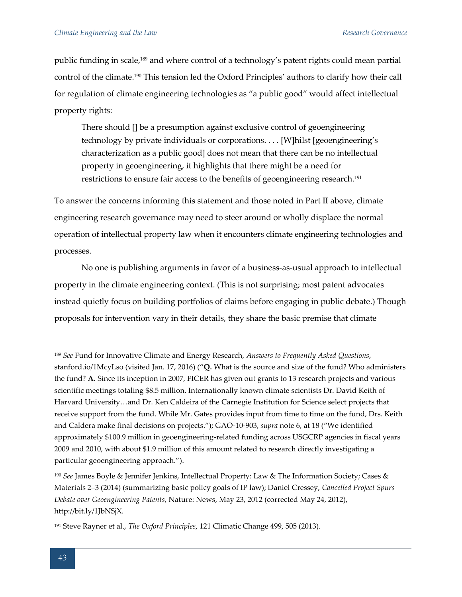public funding in scale,<sup>189</sup> and where control of a technology's patent rights could mean partial control of the climate.<sup>190</sup> This tension led the Oxford Principles' authors to clarify how their call for regulation of climate engineering technologies as "a public good" would affect intellectual property rights:

There should [] be a presumption against exclusive control of geoengineering technology by private individuals or corporations. . . . [W]hilst [geoengineering's characterization as a public good] does not mean that there can be no intellectual property in geoengineering, it highlights that there might be a need for restrictions to ensure fair access to the benefits of geoengineering research.<sup>191</sup>

To answer the concerns informing this statement and those noted in Part II above, climate engineering research governance may need to steer around or wholly displace the normal operation of intellectual property law when it encounters climate engineering technologies and processes.

No one is publishing arguments in favor of a business-as-usual approach to intellectual property in the climate engineering context. (This is not surprising; most patent advocates instead quietly focus on building portfolios of claims before engaging in public debate.) Though proposals for intervention vary in their details, they share the basic premise that climate

<sup>189</sup> *See* Fund for Innovative Climate and Energy Research, *Answers to Frequently Asked Questions*, stanford.io/1McyLso (visited Jan. 17, 2016) ("**Q.** What is the source and size of the fund? Who administers the fund? **A.** Since its inception in 2007, FICER has given out grants to 13 research projects and various scientific meetings totaling \$8.5 million. Internationally known climate scientists Dr. David Keith of Harvard University…and Dr. Ken Caldeira of the Carnegie Institution for Science select projects that receive support from the fund. While Mr. Gates provides input from time to time on the fund, Drs. Keith and Caldera make final decisions on projects."); GAO-10-903, *supra* note 6, at 18 ("We identified approximately \$100.9 million in geoengineering-related funding across USGCRP agencies in fiscal years 2009 and 2010, with about \$1.9 million of this amount related to research directly investigating a particular geoengineering approach.").

<sup>190</sup> *See* James Boyle & Jennifer Jenkins, Intellectual Property: Law & The Information Society; Cases & Materials 2–3 (2014) (summarizing basic policy goals of IP law); Daniel Cressey, *Cancelled Project Spurs Debate over Geoengineering Patents*, Nature: News, May 23, 2012 (corrected May 24, 2012), http://bit.ly/1JbNSjX.

<sup>191</sup> Steve Rayner et al., *The Oxford Principles*, 121 Climatic Change 499, 505 (2013).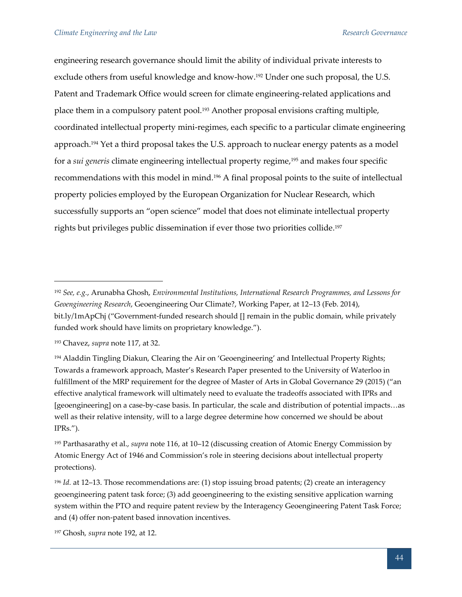engineering research governance should limit the ability of individual private interests to exclude others from useful knowledge and know-how.<sup>192</sup> Under one such proposal, the U.S. Patent and Trademark Office would screen for climate engineering-related applications and place them in a compulsory patent pool.<sup>193</sup> Another proposal envisions crafting multiple, coordinated intellectual property mini-regimes, each specific to a particular climate engineering approach.<sup>194</sup> Yet a third proposal takes the U.S. approach to nuclear energy patents as a model for a *sui generis* climate engineering intellectual property regime,<sup>195</sup> and makes four specific recommendations with this model in mind.<sup>196</sup> A final proposal points to the suite of intellectual property policies employed by the European Organization for Nuclear Research, which successfully supports an "open science" model that does not eliminate intellectual property rights but privileges public dissemination if ever those two priorities collide.<sup>197</sup>

<sup>192</sup> *See, e.g.*, Arunabha Ghosh, *Environmental Institutions, International Research Programmes, and Lessons for Geoengineering Research*, Geoengineering Our Climate?, Working Paper, at 12–13 (Feb. 2014), bit.ly/1mApChj ("Government-funded research should [] remain in the public domain, while privately funded work should have limits on proprietary knowledge.").

<sup>193</sup> Chavez, *supra* note 117, at 32.

<sup>194</sup> Aladdin Tingling Diakun, Clearing the Air on 'Geoengineering' and Intellectual Property Rights; Towards a framework approach, Master's Research Paper presented to the University of Waterloo in fulfillment of the MRP requirement for the degree of Master of Arts in Global Governance 29 (2015) ("an effective analytical framework will ultimately need to evaluate the tradeoffs associated with IPRs and [geoengineering] on a case-by-case basis. In particular, the scale and distribution of potential impacts…as well as their relative intensity, will to a large degree determine how concerned we should be about IPRs.").

<sup>195</sup> Parthasarathy et al., *supra* note 116, at 10–12 (discussing creation of Atomic Energy Commission by Atomic Energy Act of 1946 and Commission's role in steering decisions about intellectual property protections).

<sup>196</sup> *Id.* at 12–13. Those recommendations are: (1) stop issuing broad patents; (2) create an interagency geoengineering patent task force; (3) add geoengineering to the existing sensitive application warning system within the PTO and require patent review by the Interagency Geoengineering Patent Task Force; and (4) offer non-patent based innovation incentives.

<sup>197</sup> Ghosh*, supra* note 192, at 12.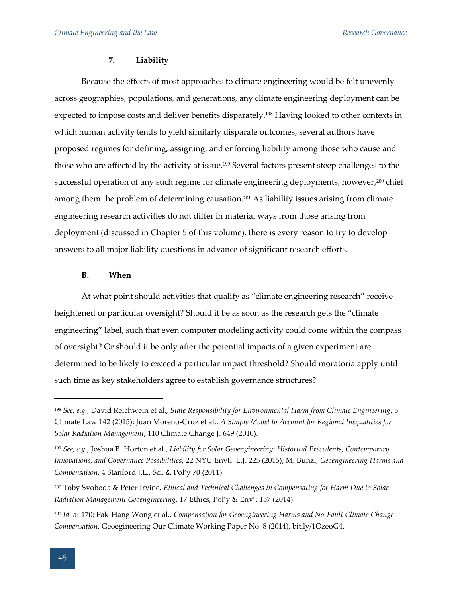#### **7. Liability**

Because the effects of most approaches to climate engineering would be felt unevenly across geographies, populations, and generations, any climate engineering deployment can be expected to impose costs and deliver benefits disparately.<sup>198</sup> Having looked to other contexts in which human activity tends to yield similarly disparate outcomes, several authors have proposed regimes for defining, assigning, and enforcing liability among those who cause and those who are affected by the activity at issue.<sup>199</sup> Several factors present steep challenges to the successful operation of any such regime for climate engineering deployments, however,<sup>200</sup> chief among them the problem of determining causation.<sup>201</sup> As liability issues arising from climate engineering research activities do not differ in material ways from those arising from deployment (discussed in Chapter 5 of this volume), there is every reason to try to develop answers to all major liability questions in advance of significant research efforts.

# **B. When**

At what point should activities that qualify as "climate engineering research" receive heightened or particular oversight? Should it be as soon as the research gets the "climate engineering" label, such that even computer modeling activity could come within the compass of oversight? Or should it be only after the potential impacts of a given experiment are determined to be likely to exceed a particular impact threshold? Should moratoria apply until such time as key stakeholders agree to establish governance structures?

<sup>198</sup> *See, e.g.*, David Reichwein et al., *State Responsibility for Environmental Harm from Climate Engineering*, 5 Climate Law 142 (2015); Juan Moreno-Cruz et al., *A Simple Model to Account for Regional Inequalities for Solar Radiation Management*, 110 Climate Change J. 649 (2010).

<sup>199</sup> *See, e.g.*, Joshua B. Horton et al., *Liability for Solar Geoengineering: Historical Precedents, Contemporary Innovations, and Governance Possibilities*, 22 NYU Envtl. L.J. 225 (2015); M. Bunzl, *Geoengineering Harms and Compensation*, 4 Stanford J.L., Sci. & Pol'y 70 (2011).

<sup>200</sup> Toby Svoboda & Peter Irvine, *Ethical and Technical Challenges in Compensating for Harm Due to Solar Radiation Management Geoengineering*, 17 Ethics, Pol'y & Env't 157 (2014).

<sup>201</sup> *Id.* at 170; Pak-Hang Wong et al., *Compensation for Geoengineering Harms and No-Fault Climate Change Compensation*, Geoegineering Our Climate Working Paper No. 8 (2014), bit.ly/1OzeoG4.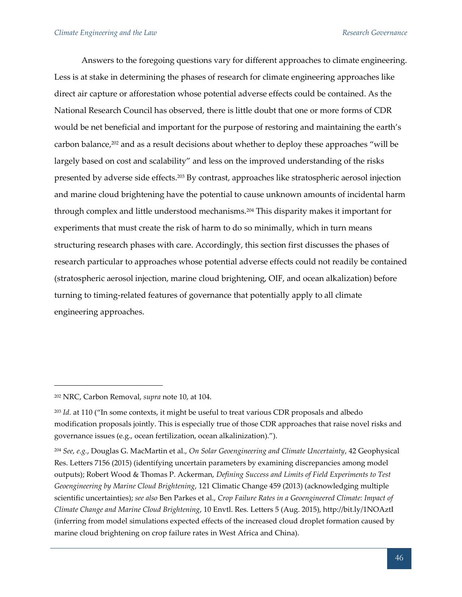Answers to the foregoing questions vary for different approaches to climate engineering. Less is at stake in determining the phases of research for climate engineering approaches like direct air capture or afforestation whose potential adverse effects could be contained. As the National Research Council has observed, there is little doubt that one or more forms of CDR would be net beneficial and important for the purpose of restoring and maintaining the earth's carbon balance, $202$  and as a result decisions about whether to deploy these approaches "will be largely based on cost and scalability" and less on the improved understanding of the risks presented by adverse side effects.<sup>203</sup> By contrast, approaches like stratospheric aerosol injection and marine cloud brightening have the potential to cause unknown amounts of incidental harm through complex and little understood mechanisms.<sup>204</sup> This disparity makes it important for experiments that must create the risk of harm to do so minimally, which in turn means structuring research phases with care. Accordingly, this section first discusses the phases of research particular to approaches whose potential adverse effects could not readily be contained (stratospheric aerosol injection, marine cloud brightening, OIF, and ocean alkalization) before turning to timing-related features of governance that potentially apply to all climate engineering approaches.

<sup>202</sup> NRC, Carbon Removal, *supra* note 10, at 104.

<sup>203</sup> *Id.* at 110 ("In some contexts, it might be useful to treat various CDR proposals and albedo modification proposals jointly. This is especially true of those CDR approaches that raise novel risks and governance issues (e.g., ocean fertilization, ocean alkalinization).").

<sup>204</sup> *See, e.g.*, Douglas G. MacMartin et al., *On Solar Geoengineering and Climate Uncertainty*, 42 Geophysical Res. Letters 7156 (2015) (identifying uncertain parameters by examining discrepancies among model outputs); Robert Wood & Thomas P. Ackerman, *Defining Success and Limits of Field Experiments to Test Geoengineering by Marine Cloud Brightening*, 121 Climatic Change 459 (2013) (acknowledging multiple scientific uncertainties); *see also* Ben Parkes et al., *Crop Failure Rates in a Geoengineered Climate: Impact of Climate Change and Marine Cloud Brightening*, 10 Envtl. Res. Letters 5 (Aug. 2015), http://bit.ly/1NOAztI (inferring from model simulations expected effects of the increased cloud droplet formation caused by marine cloud brightening on crop failure rates in West Africa and China).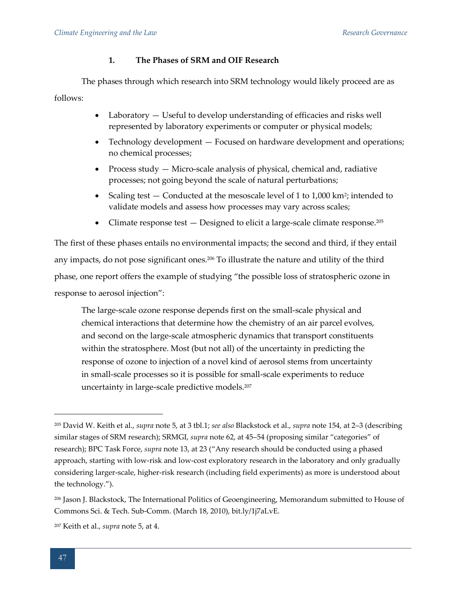# **1. The Phases of SRM and OIF Research**

The phases through which research into SRM technology would likely proceed are as follows:

- Laboratory Useful to develop understanding of efficacies and risks well represented by laboratory experiments or computer or physical models;
- Technology development Focused on hardware development and operations; no chemical processes;
- Process study  $-$  Micro-scale analysis of physical, chemical and, radiative processes; not going beyond the scale of natural perturbations;
- Scaling test  $-$  Conducted at the mesoscale level of 1 to  $1,000 \text{ km}^2$ ; intended to validate models and assess how processes may vary across scales;
- Climate response test  $-$  Designed to elicit a large-scale climate response.<sup>205</sup>

The first of these phases entails no environmental impacts; the second and third, if they entail any impacts, do not pose significant ones.<sup>206</sup> To illustrate the nature and utility of the third phase, one report offers the example of studying "the possible loss of stratospheric ozone in response to aerosol injection":

The large-scale ozone response depends first on the small-scale physical and chemical interactions that determine how the chemistry of an air parcel evolves, and second on the large-scale atmospheric dynamics that transport constituents within the stratosphere. Most (but not all) of the uncertainty in predicting the response of ozone to injection of a novel kind of aerosol stems from uncertainty in small-scale processes so it is possible for small-scale experiments to reduce uncertainty in large-scale predictive models.<sup>207</sup>

<sup>205</sup> David W. Keith et al., *supra* note 5, at 3 tbl.1; *see also* Blackstock et al., *supra* note 154, at 2–3 (describing similar stages of SRM research); SRMGI, *supra* note 62, at 45–54 (proposing similar "categories" of research); BPC Task Force, *supra* note 13, at 23 ("Any research should be conducted using a phased approach, starting with low-risk and low-cost exploratory research in the laboratory and only gradually considering larger-scale, higher-risk research (including field experiments) as more is understood about the technology.").

<sup>206</sup> Jason J. Blackstock, The International Politics of Geoengineering, Memorandum submitted to House of Commons Sci. & Tech. Sub-Comm. (March 18, 2010), bit.ly/1j7aLvE.

<sup>207</sup> Keith et al., *supra* note 5, at 4.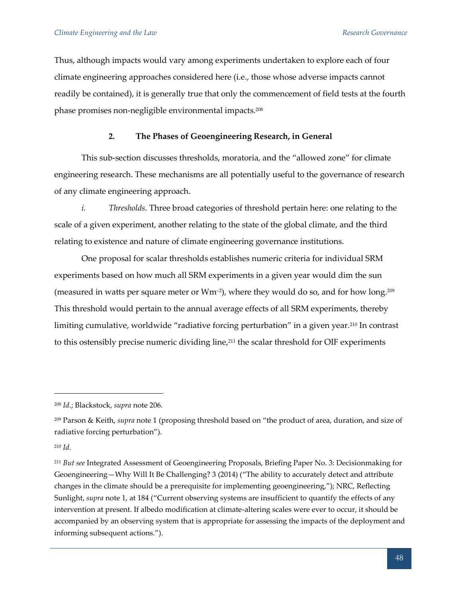Thus, although impacts would vary among experiments undertaken to explore each of four climate engineering approaches considered here (i.e., those whose adverse impacts cannot readily be contained), it is generally true that only the commencement of field tests at the fourth phase promises non-negligible environmental impacts.<sup>208</sup>

# **2. The Phases of Geoengineering Research, in General**

This sub-section discusses thresholds, moratoria, and the "allowed zone" for climate engineering research. These mechanisms are all potentially useful to the governance of research of any climate engineering approach.

*i. Thresholds*. Three broad categories of threshold pertain here: one relating to the scale of a given experiment, another relating to the state of the global climate, and the third relating to existence and nature of climate engineering governance institutions.

One proposal for scalar thresholds establishes numeric criteria for individual SRM experiments based on how much all SRM experiments in a given year would dim the sun (measured in watts per square meter or Wm<sup>-2</sup>), where they would do so, and for how long.<sup>209</sup> This threshold would pertain to the annual average effects of all SRM experiments, thereby limiting cumulative, worldwide "radiative forcing perturbation" in a given year.<sup>210</sup> In contrast to this ostensibly precise numeric dividing line,<sup>211</sup> the scalar threshold for OIF experiments

<sup>208</sup> *Id.*; Blackstock, *supra* note 206.

<sup>209</sup> Parson & Keith, *supra* note 1 (proposing threshold based on "the product of area, duration, and size of radiative forcing perturbation").

<sup>210</sup> *Id.*

<sup>211</sup> *But see* Integrated Assessment of Geoengineering Proposals, Briefing Paper No. 3: Decisionmaking for Geoengineering—Why Will It Be Challenging? 3 (2014) ("The ability to accurately detect and attribute changes in the climate should be a prerequisite for implementing geoengineering,"); NRC, Reflecting Sunlight, *supra* note 1, at 184 ("Current observing systems are insufficient to quantify the effects of any intervention at present. If albedo modification at climate-altering scales were ever to occur, it should be accompanied by an observing system that is appropriate for assessing the impacts of the deployment and informing subsequent actions.").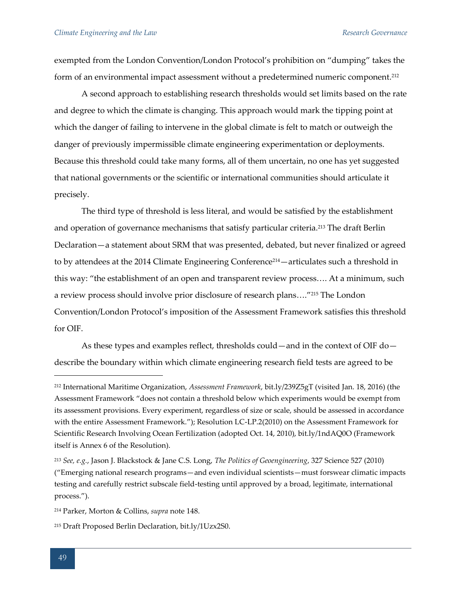exempted from the London Convention/London Protocol's prohibition on "dumping" takes the form of an environmental impact assessment without a predetermined numeric component.<sup>212</sup>

A second approach to establishing research thresholds would set limits based on the rate and degree to which the climate is changing. This approach would mark the tipping point at which the danger of failing to intervene in the global climate is felt to match or outweigh the danger of previously impermissible climate engineering experimentation or deployments. Because this threshold could take many forms, all of them uncertain, no one has yet suggested that national governments or the scientific or international communities should articulate it precisely.

The third type of threshold is less literal, and would be satisfied by the establishment and operation of governance mechanisms that satisfy particular criteria.<sup>213</sup> The draft Berlin Declaration—a statement about SRM that was presented, debated, but never finalized or agreed to by attendees at the 2014 Climate Engineering Conference<sup>214</sup> - articulates such a threshold in this way: "the establishment of an open and transparent review process…. At a minimum, such a review process should involve prior disclosure of research plans…."<sup>215</sup> The London Convention/London Protocol's imposition of the Assessment Framework satisfies this threshold for OIF.

As these types and examples reflect, thresholds could—and in the context of OIF do describe the boundary within which climate engineering research field tests are agreed to be

<sup>212</sup> International Maritime Organization, *Assessment Framework*, bit.ly/239Z5gT (visited Jan. 18, 2016) (the Assessment Framework "does not contain a threshold below which experiments would be exempt from its assessment provisions. Every experiment, regardless of size or scale, should be assessed in accordance with the entire Assessment Framework."); Resolution LC-LP.2(2010) on the Assessment Framework for Scientific Research Involving Ocean Fertilization (adopted Oct. 14, 2010), bit.ly/1ndAQ0O (Framework itself is Annex 6 of the Resolution).

<sup>213</sup> *See, e.g.*, Jason J. Blackstock & Jane C.S. Long, *The Politics of Geoengineering*, 327 Science 527 (2010) ("Emerging national research programs—and even individual scientists—must forswear climatic impacts testing and carefully restrict subscale field-testing until approved by a broad, legitimate, international process.").

<sup>214</sup> Parker, Morton & Collins, *supra* note 148.

<sup>215</sup> Draft Proposed Berlin Declaration, bit.ly/1Uzx2S0.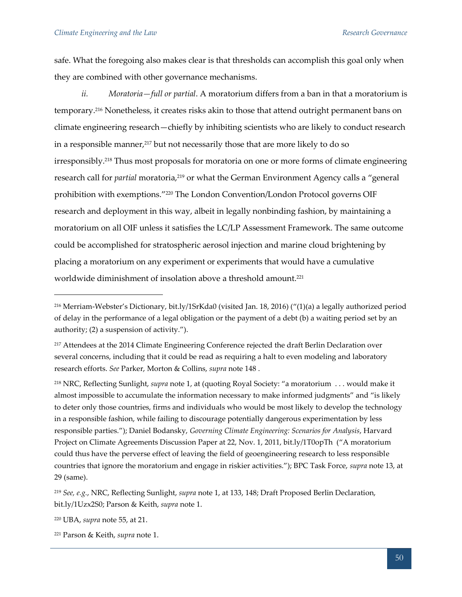safe. What the foregoing also makes clear is that thresholds can accomplish this goal only when they are combined with other governance mechanisms.

*ii. Moratoria—full or partial*. A moratorium differs from a ban in that a moratorium is temporary.<sup>216</sup> Nonetheless, it creates risks akin to those that attend outright permanent bans on climate engineering research—chiefly by inhibiting scientists who are likely to conduct research in a responsible manner,<sup>217</sup> but not necessarily those that are more likely to do so irresponsibly.<sup>218</sup> Thus most proposals for moratoria on one or more forms of climate engineering research call for *partial* moratoria,<sup>219</sup> or what the German Environment Agency calls a "general prohibition with exemptions."<sup>220</sup> The London Convention/London Protocol governs OIF research and deployment in this way, albeit in legally nonbinding fashion, by maintaining a moratorium on all OIF unless it satisfies the LC/LP Assessment Framework. The same outcome could be accomplished for stratospheric aerosol injection and marine cloud brightening by placing a moratorium on any experiment or experiments that would have a cumulative worldwide diminishment of insolation above a threshold amount.<sup>221</sup>

<sup>220</sup> UBA, *supra* note 55, at 21.

<sup>216</sup> Merriam-Webster's Dictionary, bit.ly/1SrKda0 (visited Jan. 18, 2016) ("(1)(a) a legally authorized period of delay in the performance of a legal obligation or the payment of a debt (b) a waiting period set by an authority; (2) a suspension of activity.").

<sup>&</sup>lt;sup>217</sup> Attendees at the 2014 Climate Engineering Conference rejected the draft Berlin Declaration over several concerns, including that it could be read as requiring a halt to even modeling and laboratory research efforts. *See* Parker, Morton & Collins, *supra* note 148 .

<sup>218</sup> NRC, Reflecting Sunlight, *supra* note 1, at (quoting Royal Society: "a moratorium . . . would make it almost impossible to accumulate the information necessary to make informed judgments" and "is likely to deter only those countries, firms and individuals who would be most likely to develop the technology in a responsible fashion, while failing to discourage potentially dangerous experimentation by less responsible parties."); Daniel Bodansky, *Governing Climate Engineering: Scenarios for Analysis*, Harvard Project on Climate Agreements Discussion Paper at 22, Nov. 1, 2011, bit.ly/1T0opTh ("A moratorium could thus have the perverse effect of leaving the field of geoengineering research to less responsible countries that ignore the moratorium and engage in riskier activities."); BPC Task Force, *supra* note 13, at 29 (same).

<sup>219</sup> *See, e.g.*, NRC, Reflecting Sunlight, *supra* note 1, at 133, 148; Draft Proposed Berlin Declaration, bit.ly/1Uzx2S0; Parson & Keith, *supra* note 1.

<sup>221</sup> Parson & Keith, *supra* note 1.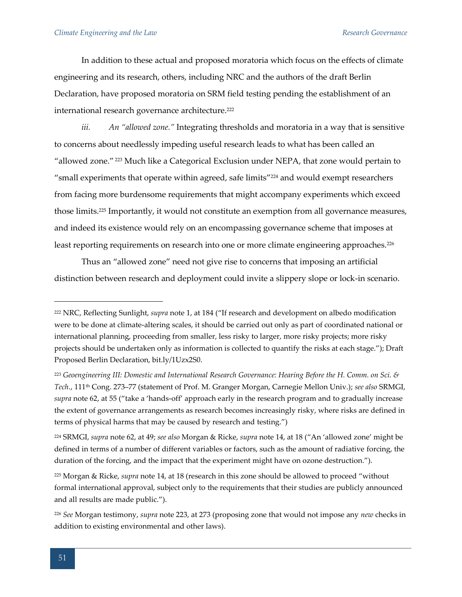In addition to these actual and proposed moratoria which focus on the effects of climate engineering and its research, others, including NRC and the authors of the draft Berlin Declaration, have proposed moratoria on SRM field testing pending the establishment of an international research governance architecture.<sup>222</sup>

*iii. An "allowed zone."* Integrating thresholds and moratoria in a way that is sensitive to concerns about needlessly impeding useful research leads to what has been called an "allowed zone." <sup>223</sup> Much like a Categorical Exclusion under NEPA, that zone would pertain to "small experiments that operate within agreed, safe limits"<sup>224</sup> and would exempt researchers from facing more burdensome requirements that might accompany experiments which exceed those limits.<sup>225</sup> Importantly, it would not constitute an exemption from all governance measures, and indeed its existence would rely on an encompassing governance scheme that imposes at least reporting requirements on research into one or more climate engineering approaches.<sup>226</sup>

Thus an "allowed zone" need not give rise to concerns that imposing an artificial distinction between research and deployment could invite a slippery slope or lock-in scenario.

<sup>222</sup> NRC, Reflecting Sunlight, *supra* note 1, at 184 ("If research and development on albedo modification were to be done at climate-altering scales, it should be carried out only as part of coordinated national or international planning, proceeding from smaller, less risky to larger, more risky projects; more risky projects should be undertaken only as information is collected to quantify the risks at each stage."); Draft Proposed Berlin Declaration, bit.ly/1Uzx2S0.

<sup>223</sup> *Geoengineering III: Domestic and International Research Governance: Hearing Before the H. Comm. on Sci. & Tech.*, 111th Cong. 273–77 (statement of Prof. M. Granger Morgan, Carnegie Mellon Univ.); *see also* SRMGI, *supra* note 62, at 55 ("take a 'hands-off' approach early in the research program and to gradually increase the extent of governance arrangements as research becomes increasingly risky, where risks are defined in terms of physical harms that may be caused by research and testing.")

<sup>224</sup> SRMGI, *supra* note 62, at 49; *see also* Morgan & Ricke, *supra* note 14, at 18 ("An 'allowed zone' might be defined in terms of a number of different variables or factors, such as the amount of radiative forcing, the duration of the forcing, and the impact that the experiment might have on ozone destruction.").

<sup>225</sup> Morgan & Ricke, *supra* note 14, at 18 (research in this zone should be allowed to proceed "without formal international approval, subject only to the requirements that their studies are publicly announced and all results are made public.").

<sup>226</sup> *See* Morgan testimony, *supra* note 223, at 273 (proposing zone that would not impose any *new* checks in addition to existing environmental and other laws).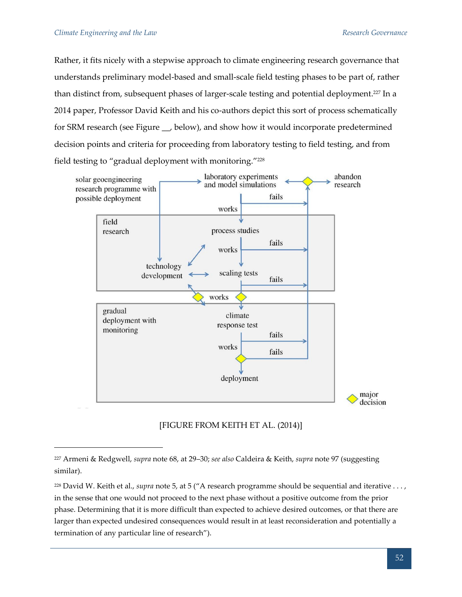Rather, it fits nicely with a stepwise approach to climate engineering research governance that understands preliminary model-based and small-scale field testing phases to be part of, rather than distinct from, subsequent phases of larger-scale testing and potential deployment.<sup>227</sup> In a 2014 paper, Professor David Keith and his co-authors depict this sort of process schematically for SRM research (see Figure \_\_, below), and show how it would incorporate predetermined decision points and criteria for proceeding from laboratory testing to field testing, and from field testing to "gradual deployment with monitoring."<sup>228</sup>



[FIGURE FROM KEITH ET AL. (2014)]

<sup>227</sup> Armeni & Redgwell, *supra* note 68, at 29–30; *see also* Caldeira & Keith, *supra* note 97 (suggesting similar).

<sup>228</sup> David W. Keith et al., *supra* note 5, at 5 ("A research programme should be sequential and iterative . . . , in the sense that one would not proceed to the next phase without a positive outcome from the prior phase. Determining that it is more difficult than expected to achieve desired outcomes, or that there are larger than expected undesired consequences would result in at least reconsideration and potentially a termination of any particular line of research").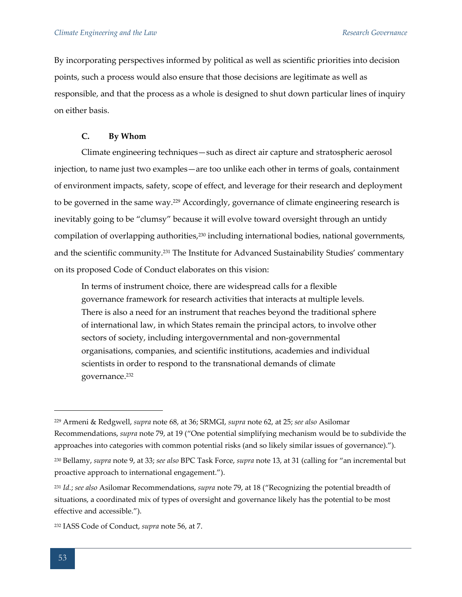By incorporating perspectives informed by political as well as scientific priorities into decision points, such a process would also ensure that those decisions are legitimate as well as responsible, and that the process as a whole is designed to shut down particular lines of inquiry on either basis.

# **C. By Whom**

Climate engineering techniques—such as direct air capture and stratospheric aerosol injection, to name just two examples—are too unlike each other in terms of goals, containment of environment impacts, safety, scope of effect, and leverage for their research and deployment to be governed in the same way.<sup>229</sup> Accordingly, governance of climate engineering research is inevitably going to be "clumsy" because it will evolve toward oversight through an untidy compilation of overlapping authorities,<sup>230</sup> including international bodies, national governments, and the scientific community.<sup>231</sup> The Institute for Advanced Sustainability Studies' commentary on its proposed Code of Conduct elaborates on this vision:

In terms of instrument choice, there are widespread calls for a flexible governance framework for research activities that interacts at multiple levels. There is also a need for an instrument that reaches beyond the traditional sphere of international law, in which States remain the principal actors, to involve other sectors of society, including intergovernmental and non-governmental organisations, companies, and scientific institutions, academies and individual scientists in order to respond to the transnational demands of climate governance.<sup>232</sup>

<sup>229</sup> Armeni & Redgwell, *supra* note 68, at 36; SRMGI, *supra* note 62, at 25; *see also* Asilomar Recommendations, *supra* note 79, at 19 ("One potential simplifying mechanism would be to subdivide the approaches into categories with common potential risks (and so likely similar issues of governance).").

<sup>230</sup> Bellamy, *supra* note 9, at 33; *see also* BPC Task Force, *supra* note 13, at 31 (calling for "an incremental but proactive approach to international engagement.").

<sup>231</sup> *Id.*; *see also* Asilomar Recommendations, *supra* note 79, at 18 ("Recognizing the potential breadth of situations, a coordinated mix of types of oversight and governance likely has the potential to be most effective and accessible.").

<sup>232</sup> IASS Code of Conduct, *supra* note 56, at 7.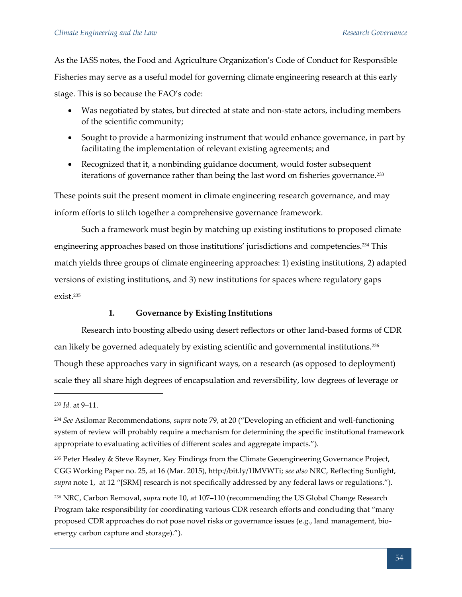As the IASS notes, the Food and Agriculture Organization's Code of Conduct for Responsible Fisheries may serve as a useful model for governing climate engineering research at this early stage. This is so because the FAO's code:

- Was negotiated by states, but directed at state and non-state actors, including members of the scientific community;
- Sought to provide a harmonizing instrument that would enhance governance, in part by facilitating the implementation of relevant existing agreements; and
- Recognized that it, a nonbinding guidance document, would foster subsequent iterations of governance rather than being the last word on fisheries governance.<sup>233</sup>

These points suit the present moment in climate engineering research governance, and may inform efforts to stitch together a comprehensive governance framework.

Such a framework must begin by matching up existing institutions to proposed climate engineering approaches based on those institutions' jurisdictions and competencies.<sup>234</sup> This match yields three groups of climate engineering approaches: 1) existing institutions, 2) adapted versions of existing institutions, and 3) new institutions for spaces where regulatory gaps exist.<sup>235</sup>

# **1. Governance by Existing Institutions**

Research into boosting albedo using desert reflectors or other land-based forms of CDR can likely be governed adequately by existing scientific and governmental institutions.<sup>236</sup> Though these approaches vary in significant ways, on a research (as opposed to deployment) scale they all share high degrees of encapsulation and reversibility, low degrees of leverage or

<sup>233</sup> *Id.* at 9–11.

<sup>234</sup> *See* Asilomar Recommendations, *supra* note 79, at 20 ("Developing an efficient and well-functioning system of review will probably require a mechanism for determining the specific institutional framework appropriate to evaluating activities of different scales and aggregate impacts.").

<sup>&</sup>lt;sup>235</sup> Peter Healey & Steve Rayner, Key Findings from the Climate Geoengineering Governance Project, CGG Working Paper no. 25, at 16 (Mar. 2015), http://bit.ly/1lMVWTi; *see also* NRC, Reflecting Sunlight, *supra* note 1, at 12 "[SRM] research is not specifically addressed by any federal laws or regulations.").

<sup>236</sup> NRC, Carbon Removal, *supra* note 10, at 107–110 (recommending the US Global Change Research Program take responsibility for coordinating various CDR research efforts and concluding that "many proposed CDR approaches do not pose novel risks or governance issues (e.g., land management, bioenergy carbon capture and storage).").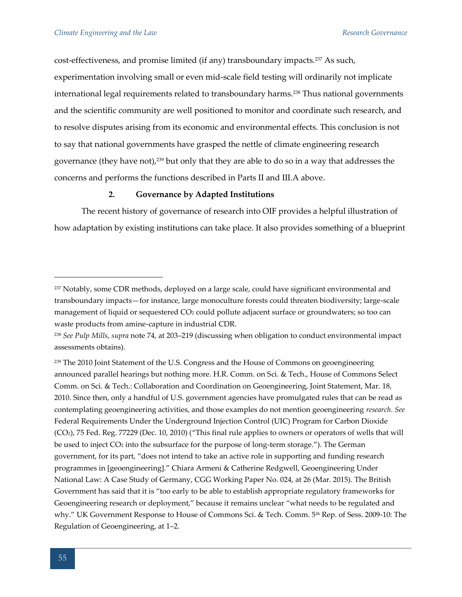cost-effectiveness, and promise limited (if any) transboundary impacts.<sup>237</sup> As such, experimentation involving small or even mid-scale field testing will ordinarily not implicate international legal requirements related to transboundary harms.<sup>238</sup> Thus national governments and the scientific community are well positioned to monitor and coordinate such research, and to resolve disputes arising from its economic and environmental effects. This conclusion is not to say that national governments have grasped the nettle of climate engineering research governance (they have not),<sup>239</sup> but only that they are able to do so in a way that addresses the concerns and performs the functions described in Parts II and III.A above.

# **2. Governance by Adapted Institutions**

The recent history of governance of research into OIF provides a helpful illustration of how adaptation by existing institutions can take place. It also provides something of a blueprint

<sup>&</sup>lt;sup>237</sup> Notably, some CDR methods, deployed on a large scale, could have significant environmental and transboundary impacts—for instance, large monoculture forests could threaten biodiversity; large-scale management of liquid or sequestered CO<sup>2</sup> could pollute adjacent surface or groundwaters; so too can waste products from amine-capture in industrial CDR.

<sup>238</sup> *See Pulp Mills*, *supra* note 74, at 203–219 (discussing when obligation to conduct environmental impact assessments obtains).

<sup>&</sup>lt;sup>239</sup> The 2010 Joint Statement of the U.S. Congress and the House of Commons on geoengineering announced parallel hearings but nothing more. H.R. Comm. on Sci. & Tech., House of Commons Select Comm. on Sci. & Tech.: Collaboration and Coordination on Geoengineering, Joint Statement, Mar. 18, 2010. Since then, only a handful of U.S. government agencies have promulgated rules that can be read as contemplating geoengineering activities, and those examples do not mention geoengineering *research*. *See*  Federal Requirements Under the Underground Injection Control (UIC) Program for Carbon Dioxide (CO2), 75 Fed. Reg. 77229 (Dec. 10, 2010) ("This final rule applies to owners or operators of wells that will be used to inject CO<sup>2</sup> into the subsurface for the purpose of long-term storage."). The German government, for its part, "does not intend to take an active role in supporting and funding research programmes in [geoengineering]." Chiara Armeni & Catherine Redgwell, Geoengineering Under National Law: A Case Study of Germany, CGG Working Paper No. 024, at 26 (Mar. 2015). The British Government has said that it is "too early to be able to establish appropriate regulatory frameworks for Geoengineering research or deployment," because it remains unclear "what needs to be regulated and why." UK Government Response to House of Commons Sci. & Tech. Comm. 5th Rep. of Sess. 2009-10: The Regulation of Geoengineering, at 1–2.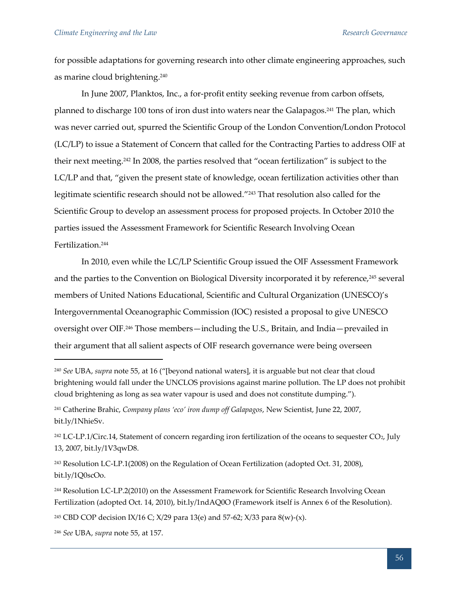for possible adaptations for governing research into other climate engineering approaches, such as marine cloud brightening.<sup>240</sup>

In June 2007, Planktos, Inc., a for-profit entity seeking revenue from carbon offsets, planned to discharge 100 tons of iron dust into waters near the Galapagos.<sup>241</sup> The plan, which was never carried out, spurred the Scientific Group of the London Convention/London Protocol (LC/LP) to issue a Statement of Concern that called for the Contracting Parties to address OIF at their next meeting.<sup>242</sup> In 2008, the parties resolved that "ocean fertilization" is subject to the LC/LP and that, "given the present state of knowledge, ocean fertilization activities other than legitimate scientific research should not be allowed."<sup>243</sup> That resolution also called for the Scientific Group to develop an assessment process for proposed projects. In October 2010 the parties issued the Assessment Framework for Scientific Research Involving Ocean Fertilization.<sup>244</sup>

In 2010, even while the LC/LP Scientific Group issued the OIF Assessment Framework and the parties to the Convention on Biological Diversity incorporated it by reference,<sup>245</sup> several members of United Nations Educational, Scientific and Cultural Organization (UNESCO)'s Intergovernmental Oceanographic Commission (IOC) resisted a proposal to give UNESCO oversight over OIF.<sup>246</sup> Those members—including the U.S., Britain, and India—prevailed in their argument that all salient aspects of OIF research governance were being overseen

<sup>240</sup> *See* UBA, *supra* note 55, at 16 ("[beyond national waters], it is arguable but not clear that cloud brightening would fall under the UNCLOS provisions against marine pollution. The LP does not prohibit cloud brightening as long as sea water vapour is used and does not constitute dumping.").

<sup>241</sup> Catherine Brahic, *Company plans 'eco' iron dump off Galapagos*, New Scientist, June 22, 2007, bit.ly/1NhieSv.

<sup>&</sup>lt;sup>242</sup> LC-LP.1/Circ.14, Statement of concern regarding iron fertilization of the oceans to sequester CO<sub>2</sub>, July 13, 2007, bit.ly/1V3qwD8.

<sup>243</sup> Resolution LC-LP.1(2008) on the Regulation of Ocean Fertilization (adopted Oct. 31, 2008), bit.ly/1Q0scOo.

<sup>244</sup> Resolution LC-LP.2(2010) on the Assessment Framework for Scientific Research Involving Ocean Fertilization (adopted Oct. 14, 2010), bit.ly/1ndAQ0O (Framework itself is Annex 6 of the Resolution).

<sup>&</sup>lt;sup>245</sup> CBD COP decision IX/16 C; X/29 para 13(e) and 57-62; X/33 para 8(w)-(x).

<sup>246</sup> *See* UBA, *supra* note 55, at 157.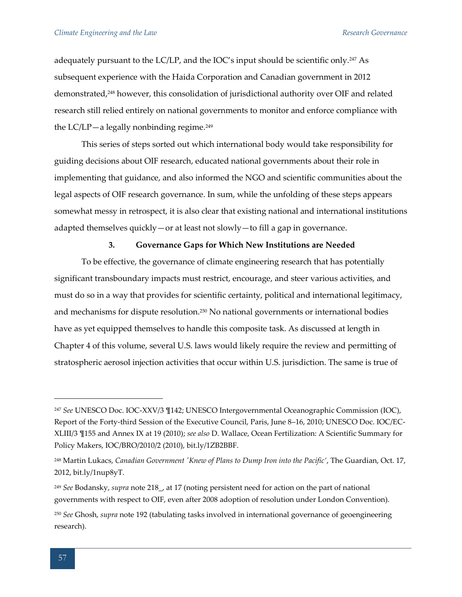adequately pursuant to the  $LC/LP$ , and the  $IOC's$  input should be scientific only.<sup>247</sup> As subsequent experience with the Haida Corporation and Canadian government in 2012 demonstrated,<sup>248</sup> however, this consolidation of jurisdictional authority over OIF and related research still relied entirely on national governments to monitor and enforce compliance with the  $LC/LP$ —a legally nonbinding regime.<sup>249</sup>

This series of steps sorted out which international body would take responsibility for guiding decisions about OIF research, educated national governments about their role in implementing that guidance, and also informed the NGO and scientific communities about the legal aspects of OIF research governance. In sum, while the unfolding of these steps appears somewhat messy in retrospect, it is also clear that existing national and international institutions adapted themselves quickly—or at least not slowly—to fill a gap in governance.

# **3. Governance Gaps for Which New Institutions are Needed**

To be effective, the governance of climate engineering research that has potentially significant transboundary impacts must restrict, encourage, and steer various activities, and must do so in a way that provides for scientific certainty, political and international legitimacy, and mechanisms for dispute resolution.<sup>250</sup> No national governments or international bodies have as yet equipped themselves to handle this composite task. As discussed at length in Chapter 4 of this volume, several U.S. laws would likely require the review and permitting of stratospheric aerosol injection activities that occur within U.S. jurisdiction. The same is true of

<sup>247</sup> *See* UNESCO Doc. IOC-XXV/3 ¶142; UNESCO Intergovernmental Oceanographic Commission (IOC), Report of the Forty-third Session of the Executive Council, Paris, June 8–16, 2010; UNESCO Doc. IOC/EC-XLIII/3 ¶155 and Annex IX at 19 (2010); *see also* D. Wallace, Ocean Fertilization: A Scientific Summary for Policy Makers, IOC/BRO/2010/2 (2010), bit.ly/1ZB2BBF.

<sup>248</sup> Martin Lukacs, *Canadian Government 'Knew of Plans to Dump Iron into the Pacific'*, The Guardian, Oct. 17, 2012, bit.ly/1nup8yT.

<sup>249</sup> *See* Bodansky, *supra* note 218\_, at 17 (noting persistent need for action on the part of national governments with respect to OIF, even after 2008 adoption of resolution under London Convention).

<sup>250</sup> *See* Ghosh, *supra* note 192 (tabulating tasks involved in international governance of geoengineering research).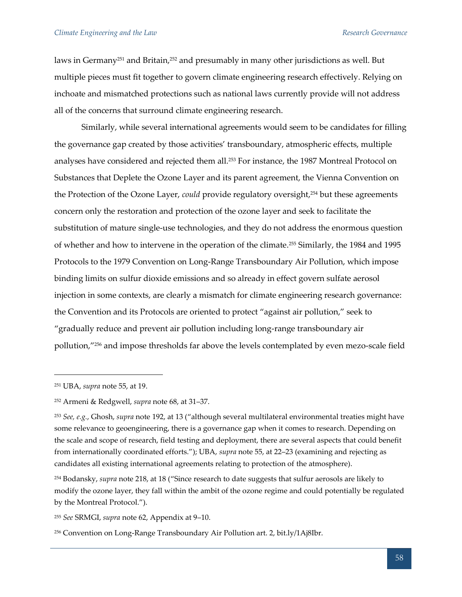laws in Germany<sup>251</sup> and Britain,<sup>252</sup> and presumably in many other jurisdictions as well. But multiple pieces must fit together to govern climate engineering research effectively. Relying on inchoate and mismatched protections such as national laws currently provide will not address all of the concerns that surround climate engineering research.

Similarly, while several international agreements would seem to be candidates for filling the governance gap created by those activities' transboundary, atmospheric effects, multiple analyses have considered and rejected them all.<sup>253</sup> For instance, the 1987 Montreal Protocol on Substances that Deplete the Ozone Layer and its parent agreement, the Vienna Convention on the Protection of the Ozone Layer, *could* provide regulatory oversight,<sup>254</sup> but these agreements concern only the restoration and protection of the ozone layer and seek to facilitate the substitution of mature single-use technologies, and they do not address the enormous question of whether and how to intervene in the operation of the climate.<sup>255</sup> Similarly, the 1984 and 1995 Protocols to the 1979 Convention on Long-Range Transboundary Air Pollution, which impose binding limits on sulfur dioxide emissions and so already in effect govern sulfate aerosol injection in some contexts, are clearly a mismatch for climate engineering research governance: the Convention and its Protocols are oriented to protect "against air pollution," seek to "gradually reduce and prevent air pollution including long-range transboundary air pollution,"<sup>256</sup> and impose thresholds far above the levels contemplated by even mezo-scale field

<sup>251</sup> UBA, *supra* note 55, at 19.

<sup>252</sup> Armeni & Redgwell, *supra* note 68, at 31–37.

<sup>253</sup> *See, e.g.*, Ghosh, *supra* note 192, at 13 ("although several multilateral environmental treaties might have some relevance to geoengineering, there is a governance gap when it comes to research. Depending on the scale and scope of research, field testing and deployment, there are several aspects that could benefit from internationally coordinated efforts."); UBA, *supra* note 55, at 22–23 (examining and rejecting as candidates all existing international agreements relating to protection of the atmosphere).

<sup>254</sup> Bodansky, *supra* note 218, at 18 ("Since research to date suggests that sulfur aerosols are likely to modify the ozone layer, they fall within the ambit of the ozone regime and could potentially be regulated by the Montreal Protocol.").

<sup>255</sup> *See* SRMGI, *supra* note 62, Appendix at 9–10.

<sup>256</sup> Convention on Long-Range Transboundary Air Pollution art. 2, bit.ly/1Aj8Ibr.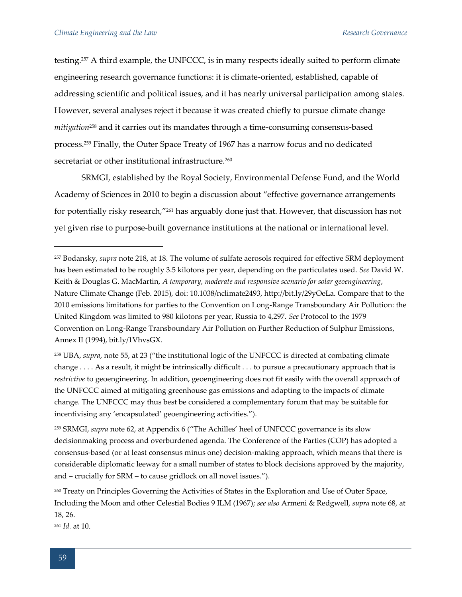testing.<sup>257</sup> A third example, the UNFCCC, is in many respects ideally suited to perform climate engineering research governance functions: it is climate-oriented, established, capable of addressing scientific and political issues, and it has nearly universal participation among states. However, several analyses reject it because it was created chiefly to pursue climate change *mitigation*<sup>258</sup> and it carries out its mandates through a time-consuming consensus-based process.<sup>259</sup> Finally, the Outer Space Treaty of 1967 has a narrow focus and no dedicated secretariat or other institutional infrastructure.<sup>260</sup>

SRMGI, established by the Royal Society, Environmental Defense Fund, and the World Academy of Sciences in 2010 to begin a discussion about "effective governance arrangements for potentially risky research,"<sup>261</sup> has arguably done just that. However, that discussion has not yet given rise to purpose-built governance institutions at the national or international level.

<sup>261</sup> *Id.* at 10.

<sup>257</sup> Bodansky, *supra* note 218, at 18. The volume of sulfate aerosols required for effective SRM deployment has been estimated to be roughly 3.5 kilotons per year, depending on the particulates used. *See* David W. Keith & Douglas G. MacMartin, *A temporary, moderate and responsive scenario for solar geoengineering*, Nature Climate Change (Feb. 2015), doi: 10.1038/nclimate2493, http://bit.ly/29yOeLa. Compare that to the 2010 emissions limitations for parties to the Convention on Long-Range Transboundary Air Pollution: the United Kingdom was limited to 980 kilotons per year, Russia to 4,297. *See* Protocol to the 1979 Convention on Long-Range Transboundary Air Pollution on Further Reduction of Sulphur Emissions, Annex II (1994), bit.ly/1VhvsGX.

<sup>258</sup> UBA, *supra*, note 55, at 23 ("the institutional logic of the UNFCCC is directed at combating climate change . . . . As a result, it might be intrinsically difficult . . . to pursue a precautionary approach that is *restrictive* to geoengineering. In addition, geoengineering does not fit easily with the overall approach of the UNFCCC aimed at mitigating greenhouse gas emissions and adapting to the impacts of climate change. The UNFCCC may thus best be considered a complementary forum that may be suitable for incentivising any 'encapsulated' geoengineering activities.").

<sup>259</sup> SRMGI, *supra* note 62, at Appendix 6 ("The Achilles' heel of UNFCCC governance is its slow decisionmaking process and overburdened agenda. The Conference of the Parties (COP) has adopted a consensus-based (or at least consensus minus one) decision-making approach, which means that there is considerable diplomatic leeway for a small number of states to block decisions approved by the majority, and – crucially for SRM – to cause gridlock on all novel issues.").

<sup>&</sup>lt;sup>260</sup> Treaty on Principles Governing the Activities of States in the Exploration and Use of Outer Space, Including the Moon and other Celestial Bodies 9 ILM (1967); *see also* Armeni & Redgwell, *supra* note 68, at 18, 26.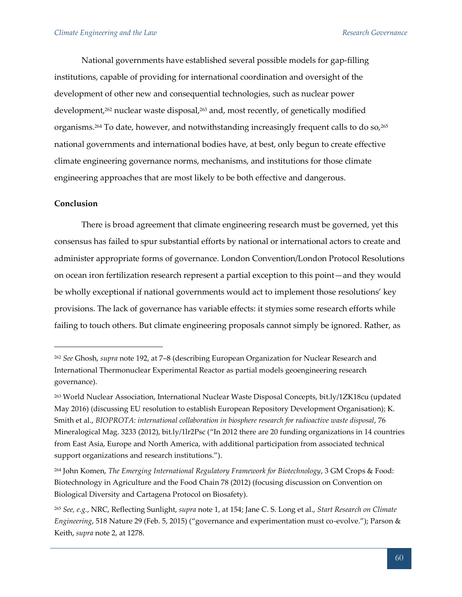National governments have established several possible models for gap-filling institutions, capable of providing for international coordination and oversight of the development of other new and consequential technologies, such as nuclear power development,<sup>262</sup> nuclear waste disposal,<sup>263</sup> and, most recently, of genetically modified organisms.<sup>264</sup> To date, however, and notwithstanding increasingly frequent calls to do so,<sup>265</sup> national governments and international bodies have, at best, only begun to create effective climate engineering governance norms, mechanisms, and institutions for those climate engineering approaches that are most likely to be both effective and dangerous.

# **Conclusion**

 $\overline{a}$ 

There is broad agreement that climate engineering research must be governed, yet this consensus has failed to spur substantial efforts by national or international actors to create and administer appropriate forms of governance. London Convention/London Protocol Resolutions on ocean iron fertilization research represent a partial exception to this point—and they would be wholly exceptional if national governments would act to implement those resolutions' key provisions. The lack of governance has variable effects: it stymies some research efforts while failing to touch others. But climate engineering proposals cannot simply be ignored. Rather, as

<sup>262</sup> *See* Ghosh, *supra* note 192, at 7–8 (describing European Organization for Nuclear Research and International Thermonuclear Experimental Reactor as partial models geoengineering research governance).

<sup>263</sup> World Nuclear Association, International Nuclear Waste Disposal Concepts, bit.ly/1ZK18cu (updated May 2016) (discussing EU resolution to establish European Repository Development Organisation); K. Smith et al., *BIOPROTA: international collaboration in biosphere research for radioactive waste disposal*, 76 Mineralogical Mag. 3233 (2012), bit.ly/1lr2Psc ("In 2012 there are 20 funding organizations in 14 countries from East Asia, Europe and North America, with additional participation from associated technical support organizations and research institutions.").

<sup>264</sup> John Komen, *The Emerging International Regulatory Framework for Biotechnology*, 3 GM Crops & Food: Biotechnology in Agriculture and the Food Chain 78 (2012) (focusing discussion on Convention on Biological Diversity and Cartagena Protocol on Biosafety).

<sup>265</sup> *See, e.g.*, NRC, Reflecting Sunlight, *supra* note 1, at 154; Jane C. S. Long et al., *Start Research on Climate Engineering*, 518 Nature 29 (Feb. 5, 2015) ("governance and experimentation must co-evolve."); Parson & Keith, *supra* note 2, at 1278.